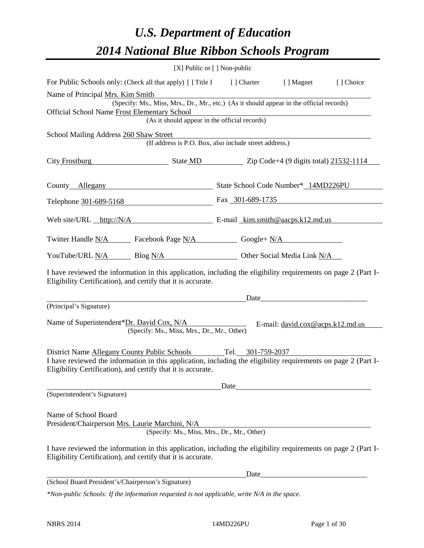# *U.S. Department of Education 2014 National Blue Ribbon Schools Program*

|                                                                                                                                                                                | $[X]$ Public or $[ \ ]$ Non-public                       |                                                        |                                    |           |  |  |  |  |
|--------------------------------------------------------------------------------------------------------------------------------------------------------------------------------|----------------------------------------------------------|--------------------------------------------------------|------------------------------------|-----------|--|--|--|--|
| For Public Schools only: (Check all that apply) [] Title I [] Charter [] Magnet                                                                                                |                                                          |                                                        |                                    | [] Choice |  |  |  |  |
| Name of Principal Mrs. Kim Smith                                                                                                                                               |                                                          |                                                        |                                    |           |  |  |  |  |
| (Specify: Ms., Miss, Mrs., Dr., Mr., etc.) (As it should appear in the official records)<br>Official School Name Frost Elementary School                                       |                                                          |                                                        |                                    |           |  |  |  |  |
| <u> 1989 - Johann Stein, marwolaethau a bhann an t-Amhair an t-Amhair an t-Amhair an t-Amhair an t-Amhair an t-A</u><br>(As it should appear in the official records)          |                                                          |                                                        |                                    |           |  |  |  |  |
| School Mailing Address 260 Shaw Street                                                                                                                                         |                                                          |                                                        |                                    |           |  |  |  |  |
|                                                                                                                                                                                |                                                          | (If address is P.O. Box, also include street address.) |                                    |           |  |  |  |  |
| City Frostburg State MD Zip Code+4 (9 digits total) 21532-1114                                                                                                                 |                                                          |                                                        |                                    |           |  |  |  |  |
| County Allegany State School Code Number* 14MD226PU                                                                                                                            |                                                          |                                                        |                                    |           |  |  |  |  |
| Telephone 301-689-5168 Fax 301-689-1735                                                                                                                                        |                                                          |                                                        |                                    |           |  |  |  |  |
|                                                                                                                                                                                | Web site/URL http://N/A E-mail kim.smith@aacps.k12.md.us |                                                        |                                    |           |  |  |  |  |
| Twitter Handle <u>N/A</u> Facebook Page <u>N/A</u> Google+ N/A                                                                                                                 |                                                          |                                                        |                                    |           |  |  |  |  |
| YouTube/URL N/A Blog N/A Other Social Media Link N/A                                                                                                                           |                                                          |                                                        |                                    |           |  |  |  |  |
| I have reviewed the information in this application, including the eligibility requirements on page 2 (Part I-<br>Eligibility Certification), and certify that it is accurate. |                                                          |                                                        |                                    |           |  |  |  |  |
|                                                                                                                                                                                |                                                          | Date                                                   |                                    |           |  |  |  |  |
| (Principal's Signature)                                                                                                                                                        |                                                          |                                                        |                                    |           |  |  |  |  |
| Name of Superintendent*Dr. David Cox, N/A<br>(Specify: Ms., Miss, Mrs., Dr., Mr., Other)                                                                                       |                                                          |                                                        | E-mail: $david.cox@acps.k12.md.us$ |           |  |  |  |  |
| District Name Allegany County Public Schools                                                                                                                                   |                                                          | Tel. 301-759-2037                                      |                                    |           |  |  |  |  |
| I have reviewed the information in this application, including the eligibility requirements on page 2 (Part I-<br>Eligibility Certification), and certify that it is accurate. |                                                          |                                                        |                                    |           |  |  |  |  |
|                                                                                                                                                                                |                                                          | Date                                                   |                                    |           |  |  |  |  |
| (Superintendent's Signature)                                                                                                                                                   |                                                          |                                                        |                                    |           |  |  |  |  |
| Name of School Board<br>President/Chairperson Mrs. Laurie Marchini, N/A                                                                                                        |                                                          |                                                        |                                    |           |  |  |  |  |
|                                                                                                                                                                                |                                                          | (Specify: Ms., Miss, Mrs., Dr., Mr., Other)            |                                    |           |  |  |  |  |
| I have reviewed the information in this application, including the eligibility requirements on page 2 (Part I-<br>Eligibility Certification), and certify that it is accurate. |                                                          |                                                        |                                    |           |  |  |  |  |
|                                                                                                                                                                                |                                                          | Date                                                   |                                    |           |  |  |  |  |
| (School Board President's/Chairperson's Signature)                                                                                                                             |                                                          |                                                        |                                    |           |  |  |  |  |
| *Non-public Schools: If the information requested is not applicable, write N/A in the space.                                                                                   |                                                          |                                                        |                                    |           |  |  |  |  |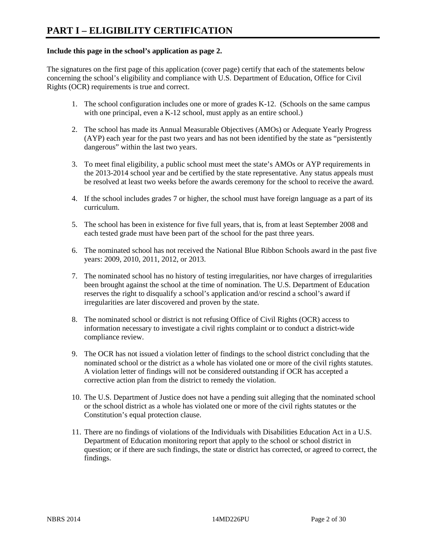#### **Include this page in the school's application as page 2.**

The signatures on the first page of this application (cover page) certify that each of the statements below concerning the school's eligibility and compliance with U.S. Department of Education, Office for Civil Rights (OCR) requirements is true and correct.

- 1. The school configuration includes one or more of grades K-12. (Schools on the same campus with one principal, even a K-12 school, must apply as an entire school.)
- 2. The school has made its Annual Measurable Objectives (AMOs) or Adequate Yearly Progress (AYP) each year for the past two years and has not been identified by the state as "persistently dangerous" within the last two years.
- 3. To meet final eligibility, a public school must meet the state's AMOs or AYP requirements in the 2013-2014 school year and be certified by the state representative. Any status appeals must be resolved at least two weeks before the awards ceremony for the school to receive the award.
- 4. If the school includes grades 7 or higher, the school must have foreign language as a part of its curriculum.
- 5. The school has been in existence for five full years, that is, from at least September 2008 and each tested grade must have been part of the school for the past three years.
- 6. The nominated school has not received the National Blue Ribbon Schools award in the past five years: 2009, 2010, 2011, 2012, or 2013.
- 7. The nominated school has no history of testing irregularities, nor have charges of irregularities been brought against the school at the time of nomination. The U.S. Department of Education reserves the right to disqualify a school's application and/or rescind a school's award if irregularities are later discovered and proven by the state.
- 8. The nominated school or district is not refusing Office of Civil Rights (OCR) access to information necessary to investigate a civil rights complaint or to conduct a district-wide compliance review.
- 9. The OCR has not issued a violation letter of findings to the school district concluding that the nominated school or the district as a whole has violated one or more of the civil rights statutes. A violation letter of findings will not be considered outstanding if OCR has accepted a corrective action plan from the district to remedy the violation.
- 10. The U.S. Department of Justice does not have a pending suit alleging that the nominated school or the school district as a whole has violated one or more of the civil rights statutes or the Constitution's equal protection clause.
- 11. There are no findings of violations of the Individuals with Disabilities Education Act in a U.S. Department of Education monitoring report that apply to the school or school district in question; or if there are such findings, the state or district has corrected, or agreed to correct, the findings.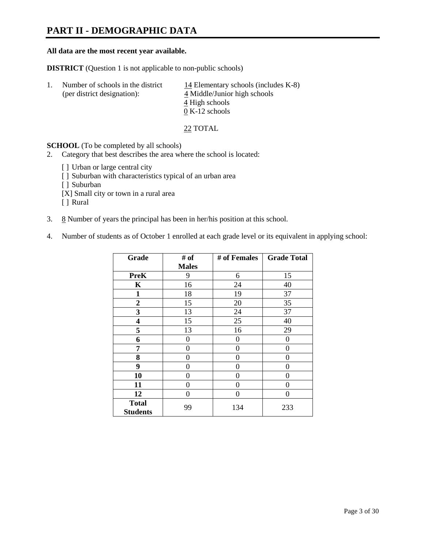# **PART II - DEMOGRAPHIC DATA**

#### **All data are the most recent year available.**

**DISTRICT** (Question 1 is not applicable to non-public schools)

| $\perp$ | Number of schools in the district<br>(per district designation): | 14 Elementary schools (includes $K-8$ )<br>4 Middle/Junior high schools |
|---------|------------------------------------------------------------------|-------------------------------------------------------------------------|
|         |                                                                  | 4 High schools                                                          |
|         |                                                                  | $0 K-12$ schools                                                        |

22 TOTAL

**SCHOOL** (To be completed by all schools)

- 2. Category that best describes the area where the school is located:
	- [] Urban or large central city
	- [ ] Suburban with characteristics typical of an urban area
	- [ ] Suburban
	- [X] Small city or town in a rural area
	- [ ] Rural
- 3.  $8$  Number of years the principal has been in her/his position at this school.
- 4. Number of students as of October 1 enrolled at each grade level or its equivalent in applying school:

| Grade           | # of         | # of Females | <b>Grade Total</b> |
|-----------------|--------------|--------------|--------------------|
|                 | <b>Males</b> |              |                    |
| <b>PreK</b>     | 9            | 6            | 15                 |
| K               | 16           | 24           | 40                 |
| $\mathbf{1}$    | 18           | 19           | 37                 |
| $\overline{2}$  | 15           | 20           | 35                 |
| 3               | 13           | 24           | 37                 |
| 4               | 15           | 25           | 40                 |
| 5               | 13           | 16           | 29                 |
| 6               | 0            | $\Omega$     | 0                  |
| 7               | 0            | 0            | 0                  |
| 8               | 0            | 0            | 0                  |
| 9               | 0            | 0            | 0                  |
| 10              | 0            | 0            | 0                  |
| 11              | 0            | 0            | 0                  |
| 12              | 0            | 0            | 0                  |
| <b>Total</b>    | 99           | 134          | 233                |
| <b>Students</b> |              |              |                    |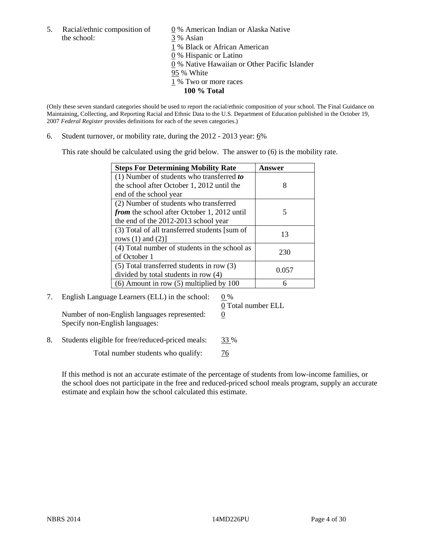5. Racial/ethnic composition of  $\qquad \qquad \underline{0}$  % American Indian or Alaska Native the school: 3 % Asian

 1 % Black or African American 0 % Hispanic or Latino 0 % Native Hawaiian or Other Pacific Islander 95 % White 1 % Two or more races **100 % Total** 

(Only these seven standard categories should be used to report the racial/ethnic composition of your school. The Final Guidance on Maintaining, Collecting, and Reporting Racial and Ethnic Data to the U.S. Department of Education published in the October 19, 2007 *Federal Register* provides definitions for each of the seven categories.)

6. Student turnover, or mobility rate, during the  $2012 - 2013$  year:  $6\%$ 

This rate should be calculated using the grid below. The answer to (6) is the mobility rate.

| <b>Steps For Determining Mobility Rate</b>         | Answer |
|----------------------------------------------------|--------|
| (1) Number of students who transferred to          |        |
| the school after October 1, 2012 until the         | 8      |
| end of the school year                             |        |
| (2) Number of students who transferred             |        |
| <i>from</i> the school after October 1, 2012 until |        |
| the end of the 2012-2013 school year               |        |
| (3) Total of all transferred students [sum of      | 13     |
| rows $(1)$ and $(2)$ ]                             |        |
| (4) Total number of students in the school as      | 230    |
| of October 1                                       |        |
| $(5)$ Total transferred students in row $(3)$      | 0.057  |
| divided by total students in row (4)               |        |
| $(6)$ Amount in row $(5)$ multiplied by 100        |        |

7. English Language Learners (ELL) in the school:  $0\%$ 

Number of non-English languages represented:  $0$ Specify non-English languages:

0 Total number ELL

8. Students eligible for free/reduced-priced meals: 33 %

Total number students who qualify:  $\frac{76}{6}$ 

If this method is not an accurate estimate of the percentage of students from low-income families, or the school does not participate in the free and reduced-priced school meals program, supply an accurate estimate and explain how the school calculated this estimate.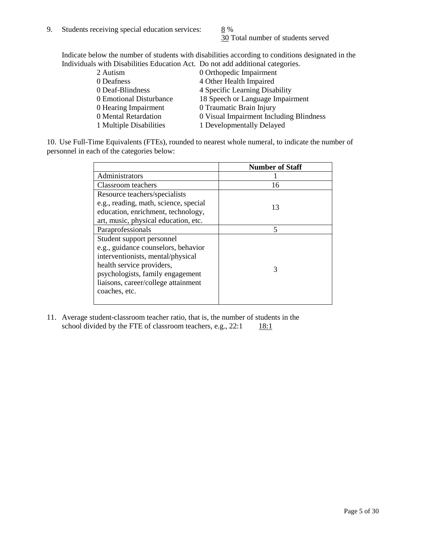30 Total number of students served

Indicate below the number of students with disabilities according to conditions designated in the Individuals with Disabilities Education Act. Do not add additional categories.

| 2 Autism                | 0 Orthopedic Impairment                 |
|-------------------------|-----------------------------------------|
| 0 Deafness              | 4 Other Health Impaired                 |
| 0 Deaf-Blindness        | 4 Specific Learning Disability          |
| 0 Emotional Disturbance | 18 Speech or Language Impairment        |
| 0 Hearing Impairment    | 0 Traumatic Brain Injury                |
| 0 Mental Retardation    | 0 Visual Impairment Including Blindness |
| 1 Multiple Disabilities | 1 Developmentally Delayed               |
|                         |                                         |

10. Use Full-Time Equivalents (FTEs), rounded to nearest whole numeral, to indicate the number of personnel in each of the categories below:

|                                       | <b>Number of Staff</b> |
|---------------------------------------|------------------------|
| Administrators                        |                        |
| Classroom teachers                    | 16                     |
| Resource teachers/specialists         |                        |
| e.g., reading, math, science, special | 13                     |
| education, enrichment, technology,    |                        |
| art, music, physical education, etc.  |                        |
| Paraprofessionals                     | 5                      |
| Student support personnel             |                        |
| e.g., guidance counselors, behavior   |                        |
| interventionists, mental/physical     |                        |
| health service providers,             | 3                      |
| psychologists, family engagement      |                        |
| liaisons, career/college attainment   |                        |
| coaches, etc.                         |                        |
|                                       |                        |

11. Average student-classroom teacher ratio, that is, the number of students in the school divided by the FTE of classroom teachers, e.g.,  $22:1$  18:1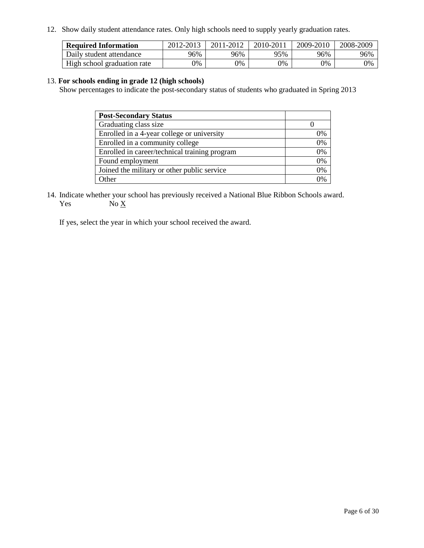12. Show daily student attendance rates. Only high schools need to supply yearly graduation rates.

| <b>Required Information</b> | 2012-2013 | 2011-2012 | 2010-2011 | 2009-2010 | 2008-2009 |
|-----------------------------|-----------|-----------|-----------|-----------|-----------|
| Daily student attendance    | 96%       | 96%       | 95%       | 96%       | 96%       |
| High school graduation rate | 7%        | 0%        | 0%        | 0%        | 0%        |

#### 13. **For schools ending in grade 12 (high schools)**

Show percentages to indicate the post-secondary status of students who graduated in Spring 2013

| <b>Post-Secondary Status</b>                  |    |
|-----------------------------------------------|----|
| Graduating class size                         |    |
| Enrolled in a 4-year college or university    | 0% |
| Enrolled in a community college               | 0% |
| Enrolled in career/technical training program | 0% |
| Found employment                              | 0% |
| Joined the military or other public service   | 0% |
| <b>Other</b>                                  | 2% |

14. Indicate whether your school has previously received a National Blue Ribbon Schools award. Yes  $No \underline{X}$ 

If yes, select the year in which your school received the award.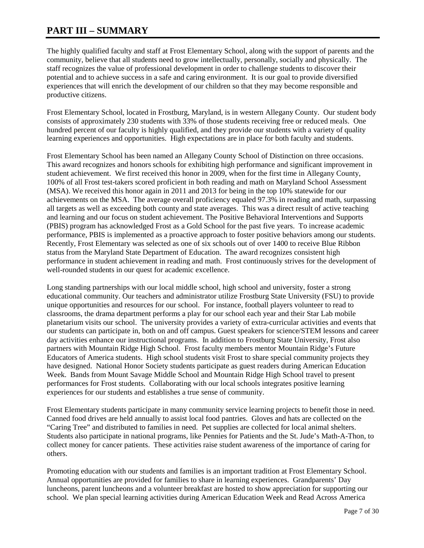# **PART III – SUMMARY**

The highly qualified faculty and staff at Frost Elementary School, along with the support of parents and the community, believe that all students need to grow intellectually, personally, socially and physically. The staff recognizes the value of professional development in order to challenge students to discover their potential and to achieve success in a safe and caring environment. It is our goal to provide diversified experiences that will enrich the development of our children so that they may become responsible and productive citizens.

Frost Elementary School, located in Frostburg, Maryland, is in western Allegany County. Our student body consists of approximately 230 students with 33% of those students receiving free or reduced meals. One hundred percent of our faculty is highly qualified, and they provide our students with a variety of quality learning experiences and opportunities. High expectations are in place for both faculty and students.

Frost Elementary School has been named an Allegany County School of Distinction on three occasions. This award recognizes and honors schools for exhibiting high performance and significant improvement in student achievement. We first received this honor in 2009, when for the first time in Allegany County, 100% of all Frost test-takers scored proficient in both reading and math on Maryland School Assessment (MSA). We received this honor again in 2011 and 2013 for being in the top 10% statewide for our achievements on the MSA. The average overall proficiency equaled 97.3% in reading and math, surpassing all targets as well as exceeding both county and state averages. This was a direct result of active teaching and learning and our focus on student achievement. The Positive Behavioral Interventions and Supports (PBIS) program has acknowledged Frost as a Gold School for the past five years. To increase academic performance, PBIS is implemented as a proactive approach to foster positive behaviors among our students. Recently, Frost Elementary was selected as one of six schools out of over 1400 to receive Blue Ribbon status from the Maryland State Department of Education. The award recognizes consistent high performance in student achievement in reading and math. Frost continuously strives for the development of well-rounded students in our quest for academic excellence.

Long standing partnerships with our local middle school, high school and university, foster a strong educational community. Our teachers and administrator utilize Frostburg State University (FSU) to provide unique opportunities and resources for our school. For instance, football players volunteer to read to classrooms, the drama department performs a play for our school each year and their Star Lab mobile planetarium visits our school. The university provides a variety of extra-curricular activities and events that our students can participate in, both on and off campus. Guest speakers for science/STEM lessons and career day activities enhance our instructional programs. In addition to Frostburg State University, Frost also partners with Mountain Ridge High School. Frost faculty members mentor Mountain Ridge's Future Educators of America students. High school students visit Frost to share special community projects they have designed. National Honor Society students participate as guest readers during American Education Week. Bands from Mount Savage Middle School and Mountain Ridge High School travel to present performances for Frost students. Collaborating with our local schools integrates positive learning experiences for our students and establishes a true sense of community.

Frost Elementary students participate in many community service learning projects to benefit those in need. Canned food drives are held annually to assist local food pantries. Gloves and hats are collected on the "Caring Tree" and distributed to families in need. Pet supplies are collected for local animal shelters. Students also participate in national programs, like Pennies for Patients and the St. Jude's Math-A-Thon, to collect money for cancer patients. These activities raise student awareness of the importance of caring for others.

Promoting education with our students and families is an important tradition at Frost Elementary School. Annual opportunities are provided for families to share in learning experiences. Grandparents' Day luncheons, parent luncheons and a volunteer breakfast are hosted to show appreciation for supporting our school. We plan special learning activities during American Education Week and Read Across America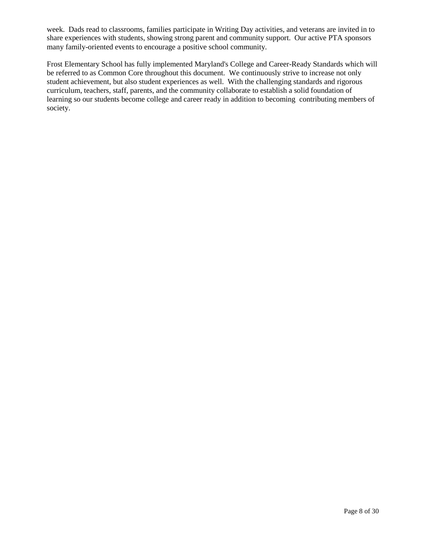week. Dads read to classrooms, families participate in Writing Day activities, and veterans are invited in to share experiences with students, showing strong parent and community support. Our active PTA sponsors many family-oriented events to encourage a positive school community.

Frost Elementary School has fully implemented Maryland's College and Career-Ready Standards which will be referred to as Common Core throughout this document. We continuously strive to increase not only student achievement, but also student experiences as well. With the challenging standards and rigorous curriculum, teachers, staff, parents, and the community collaborate to establish a solid foundation of learning so our students become college and career ready in addition to becoming contributing members of society.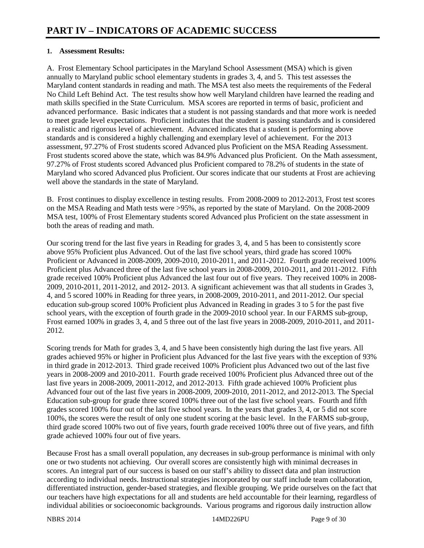#### **1. Assessment Results:**

A. Frost Elementary School participates in the Maryland School Assessment (MSA) which is given annually to Maryland public school elementary students in grades 3, 4, and 5. This test assesses the Maryland content standards in reading and math. The MSA test also meets the requirements of the Federal No Child Left Behind Act. The test results show how well Maryland children have learned the reading and math skills specified in the State Curriculum. MSA scores are reported in terms of basic, proficient and advanced performance. Basic indicates that a student is not passing standards and that more work is needed to meet grade level expectations. Proficient indicates that the student is passing standards and is considered a realistic and rigorous level of achievement. Advanced indicates that a student is performing above standards and is considered a highly challenging and exemplary level of achievement. For the 2013 assessment, 97.27% of Frost students scored Advanced plus Proficient on the MSA Reading Assessment. Frost students scored above the state, which was 84.9% Advanced plus Proficient. On the Math assessment, 97.27% of Frost students scored Advanced plus Proficient compared to 78.2% of students in the state of Maryland who scored Advanced plus Proficient. Our scores indicate that our students at Frost are achieving well above the standards in the state of Maryland.

B. Frost continues to display excellence in testing results. From 2008-2009 to 2012-2013, Frost test scores on the MSA Reading and Math tests were >95%, as reported by the state of Maryland. On the 2008-2009 MSA test, 100% of Frost Elementary students scored Advanced plus Proficient on the state assessment in both the areas of reading and math.

Our scoring trend for the last five years in Reading for grades 3, 4, and 5 has been to consistently score above 95% Proficient plus Advanced. Out of the last five school years, third grade has scored 100% Proficient or Advanced in 2008-2009, 2009-2010, 2010-2011, and 2011-2012. Fourth grade received 100% Proficient plus Advanced three of the last five school years in 2008-2009, 2010-2011, and 2011-2012. Fifth grade received 100% Proficient plus Advanced the last four out of five years. They received 100% in 2008- 2009, 2010-2011, 2011-2012, and 2012- 2013. A significant achievement was that all students in Grades 3, 4, and 5 scored 100% in Reading for three years, in 2008-2009, 2010-2011, and 2011-2012. Our special education sub-group scored 100% Proficient plus Advanced in Reading in grades 3 to 5 for the past five school years, with the exception of fourth grade in the 2009-2010 school year. In our FARMS sub-group, Frost earned 100% in grades 3, 4, and 5 three out of the last five years in 2008-2009, 2010-2011, and 2011- 2012.

Scoring trends for Math for grades 3, 4, and 5 have been consistently high during the last five years. All grades achieved 95% or higher in Proficient plus Advanced for the last five years with the exception of 93% in third grade in 2012-2013. Third grade received 100% Proficient plus Advanced two out of the last five years in 2008-2009 and 2010-2011. Fourth grade received 100% Proficient plus Advanced three out of the last five years in 2008-2009, 20011-2012, and 2012-2013. Fifth grade achieved 100% Proficient plus Advanced four out of the last five years in 2008-2009, 2009-2010, 2011-2012, and 2012-2013. The Special Education sub-group for grade three scored 100% three out of the last five school years. Fourth and fifth grades scored 100% four out of the last five school years. In the years that grades 3, 4, or 5 did not score 100%, the scores were the result of only one student scoring at the basic level. In the FARMS sub-group, third grade scored 100% two out of five years, fourth grade received 100% three out of five years, and fifth grade achieved 100% four out of five years.

Because Frost has a small overall population, any decreases in sub-group performance is minimal with only one or two students not achieving. Our overall scores are consistently high with minimal decreases in scores. An integral part of our success is based on our staff's ability to dissect data and plan instruction according to individual needs. Instructional strategies incorporated by our staff include team collaboration, differentiated instruction, gender-based strategies, and flexible grouping. We pride ourselves on the fact that our teachers have high expectations for all and students are held accountable for their learning, regardless of individual abilities or socioeconomic backgrounds. Various programs and rigorous daily instruction allow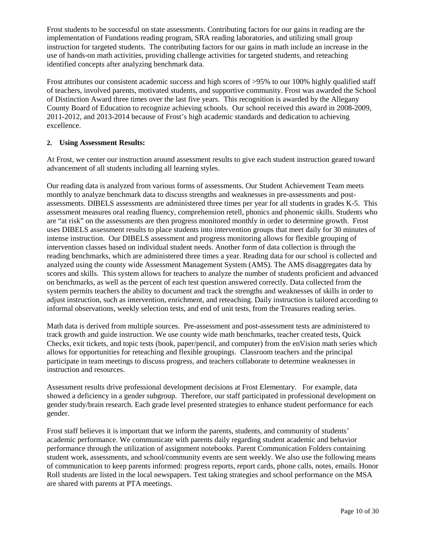Frost students to be successful on state assessments. Contributing factors for our gains in reading are the implementation of Fundations reading program, SRA reading laboratories, and utilizing small group instruction for targeted students. The contributing factors for our gains in math include an increase in the use of hands-on math activities, providing challenge activities for targeted students, and reteaching identified concepts after analyzing benchmark data.

Frost attributes our consistent academic success and high scores of >95% to our 100% highly qualified staff of teachers, involved parents, motivated students, and supportive community. Frost was awarded the School of Distinction Award three times over the last five years. This recognition is awarded by the Allegany County Board of Education to recognize achieving schools. Our school received this award in 2008-2009, 2011-2012, and 2013-2014 because of Frost's high academic standards and dedication to achieving excellence.

#### **2. Using Assessment Results:**

At Frost, we center our instruction around assessment results to give each student instruction geared toward advancement of all students including all learning styles.

Our reading data is analyzed from various forms of assessments. Our Student Achievement Team meets monthly to analyze benchmark data to discuss strengths and weaknesses in pre-assessments and postassessments. DIBELS assessments are administered three times per year for all students in grades K-5. This assessment measures oral reading fluency, comprehension retell, phonics and phonemic skills. Students who are "at risk" on the assessments are then progress monitored monthly in order to determine growth. Frost uses DIBELS assessment results to place students into intervention groups that meet daily for 30 minutes of intense instruction. Our DIBELS assessment and progress monitoring allows for flexible grouping of intervention classes based on individual student needs. Another form of data collection is through the reading benchmarks, which are administered three times a year. Reading data for our school is collected and analyzed using the county wide Assessment Management System (AMS). The AMS disaggregates data by scores and skills. This system allows for teachers to analyze the number of students proficient and advanced on benchmarks, as well as the percent of each test question answered correctly. Data collected from the system permits teachers the ability to document and track the strengths and weaknesses of skills in order to adjust instruction, such as intervention, enrichment, and reteaching. Daily instruction is tailored according to informal observations, weekly selection tests, and end of unit tests, from the Treasures reading series.

Math data is derived from multiple sources. Pre-assessment and post-assessment tests are administered to track growth and guide instruction. We use county wide math benchmarks, teacher created tests, Quick Checks, exit tickets, and topic tests (book, paper/pencil, and computer) from the enVision math series which allows for opportunities for reteaching and flexible groupings. Classroom teachers and the principal participate in team meetings to discuss progress, and teachers collaborate to determine weaknesses in instruction and resources.

Assessment results drive professional development decisions at Frost Elementary. For example, data showed a deficiency in a gender subgroup. Therefore, our staff participated in professional development on gender study/brain research. Each grade level presented strategies to enhance student performance for each gender.

Frost staff believes it is important that we inform the parents, students, and community of students' academic performance. We communicate with parents daily regarding student academic and behavior performance through the utilization of assignment notebooks. Parent Communication Folders containing student work, assessments, and school/community events are sent weekly. We also use the following means of communication to keep parents informed: progress reports, report cards, phone calls, notes, emails. Honor Roll students are listed in the local newspapers. Test taking strategies and school performance on the MSA are shared with parents at PTA meetings.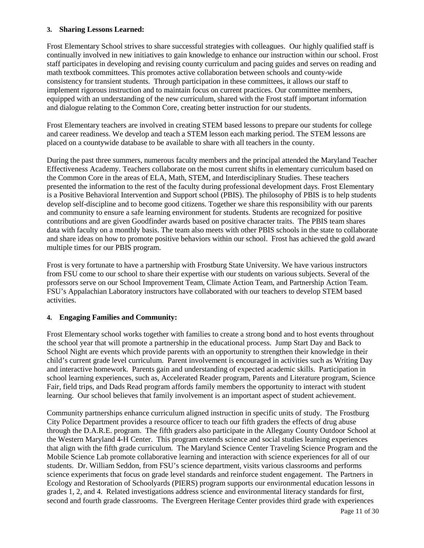#### **3. Sharing Lessons Learned:**

Frost Elementary School strives to share successful strategies with colleagues. Our highly qualified staff is continually involved in new initiatives to gain knowledge to enhance our instruction within our school. Frost staff participates in developing and revising county curriculum and pacing guides and serves on reading and math textbook committees. This promotes active collaboration between schools and county-wide consistency for transient students. Through participation in these committees, it allows our staff to implement rigorous instruction and to maintain focus on current practices. Our committee members, equipped with an understanding of the new curriculum, shared with the Frost staff important information and dialogue relating to the Common Core, creating better instruction for our students.

Frost Elementary teachers are involved in creating STEM based lessons to prepare our students for college and career readiness. We develop and teach a STEM lesson each marking period. The STEM lessons are placed on a countywide database to be available to share with all teachers in the county.

During the past three summers, numerous faculty members and the principal attended the Maryland Teacher Effectiveness Academy. Teachers collaborate on the most current shifts in elementary curriculum based on the Common Core in the areas of ELA, Math, STEM, and Interdisciplinary Studies. These teachers presented the information to the rest of the faculty during professional development days. Frost Elementary is a Positive Behavioral Intervention and Support school (PBIS). The philosophy of PBIS is to help students develop self-discipline and to become good citizens. Together we share this responsibility with our parents and community to ensure a safe learning environment for students. Students are recognized for positive contributions and are given Goodfinder awards based on positive character traits. The PBIS team shares data with faculty on a monthly basis. The team also meets with other PBIS schools in the state to collaborate and share ideas on how to promote positive behaviors within our school. Frost has achieved the gold award multiple times for our PBIS program.

Frost is very fortunate to have a partnership with Frostburg State University. We have various instructors from FSU come to our school to share their expertise with our students on various subjects. Several of the professors serve on our School Improvement Team, Climate Action Team, and Partnership Action Team. FSU's Appalachian Laboratory instructors have collaborated with our teachers to develop STEM based activities.

#### **4. Engaging Families and Community:**

Frost Elementary school works together with families to create a strong bond and to host events throughout the school year that will promote a partnership in the educational process. Jump Start Day and Back to School Night are events which provide parents with an opportunity to strengthen their knowledge in their child's current grade level curriculum. Parent involvement is encouraged in activities such as Writing Day and interactive homework. Parents gain and understanding of expected academic skills. Participation in school learning experiences, such as, Accelerated Reader program, Parents and Literature program, Science Fair, field trips, and Dads Read program affords family members the opportunity to interact with student learning. Our school believes that family involvement is an important aspect of student achievement.

Community partnerships enhance curriculum aligned instruction in specific units of study. The Frostburg City Police Department provides a resource officer to teach our fifth graders the effects of drug abuse through the D.A.R.E. program. The fifth graders also participate in the Allegany County Outdoor School at the Western Maryland 4-H Center. This program extends science and social studies learning experiences that align with the fifth grade curriculum. The Maryland Science Center Traveling Science Program and the Mobile Science Lab promote collaborative learning and interaction with science experiences for all of our students. Dr. William Seddon, from FSU's science department, visits various classrooms and performs science experiments that focus on grade level standards and reinforce student engagement. The Partners in Ecology and Restoration of Schoolyards (PIERS) program supports our environmental education lessons in grades 1, 2, and 4. Related investigations address science and environmental literacy standards for first, second and fourth grade classrooms. The Evergreen Heritage Center provides third grade with experiences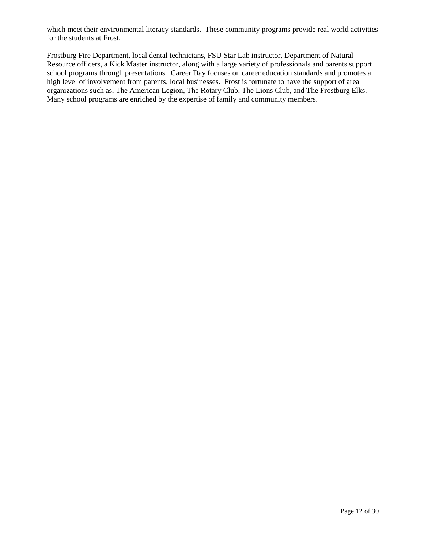which meet their environmental literacy standards. These community programs provide real world activities for the students at Frost.

Frostburg Fire Department, local dental technicians, FSU Star Lab instructor, Department of Natural Resource officers, a Kick Master instructor, along with a large variety of professionals and parents support school programs through presentations. Career Day focuses on career education standards and promotes a high level of involvement from parents, local businesses. Frost is fortunate to have the support of area organizations such as, The American Legion, The Rotary Club, The Lions Club, and The Frostburg Elks. Many school programs are enriched by the expertise of family and community members.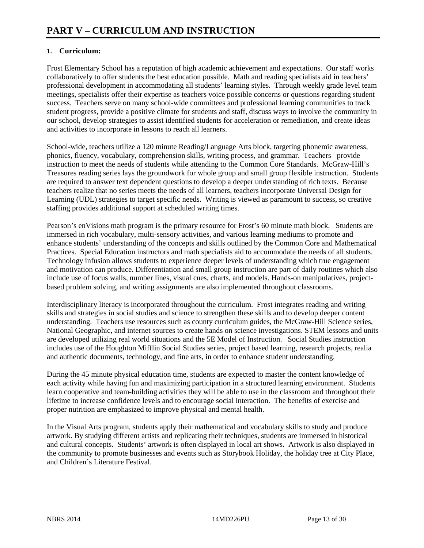#### **1. Curriculum:**

Frost Elementary School has a reputation of high academic achievement and expectations. Our staff works collaboratively to offer students the best education possible. Math and reading specialists aid in teachers' professional development in accommodating all students' learning styles. Through weekly grade level team meetings, specialists offer their expertise as teachers voice possible concerns or questions regarding student success. Teachers serve on many school-wide committees and professional learning communities to track student progress, provide a positive climate for students and staff, discuss ways to involve the community in our school, develop strategies to assist identified students for acceleration or remediation, and create ideas and activities to incorporate in lessons to reach all learners.

School-wide, teachers utilize a 120 minute Reading/Language Arts block, targeting phonemic awareness, phonics, fluency, vocabulary, comprehension skills, writing process, and grammar. Teachers provide instruction to meet the needs of students while attending to the Common Core Standards. McGraw-Hill's Treasures reading series lays the groundwork for whole group and small group flexible instruction. Students are required to answer text dependent questions to develop a deeper understanding of rich texts. Because teachers realize that no series meets the needs of all learners, teachers incorporate Universal Design for Learning (UDL) strategies to target specific needs. Writing is viewed as paramount to success, so creative staffing provides additional support at scheduled writing times.

Pearson's enVisions math program is the primary resource for Frost's 60 minute math block. Students are immersed in rich vocabulary, multi-sensory activities, and various learning mediums to promote and enhance students' understanding of the concepts and skills outlined by the Common Core and Mathematical Practices. Special Education instructors and math specialists aid to accommodate the needs of all students. Technology infusion allows students to experience deeper levels of understanding which true engagement and motivation can produce. Differentiation and small group instruction are part of daily routines which also include use of focus walls, number lines, visual cues, charts, and models. Hands-on manipulatives, projectbased problem solving, and writing assignments are also implemented throughout classrooms.

Interdisciplinary literacy is incorporated throughout the curriculum. Frost integrates reading and writing skills and strategies in social studies and science to strengthen these skills and to develop deeper content understanding. Teachers use resources such as county curriculum guides, the McGraw-Hill Science series, National Geographic, and internet sources to create hands on science investigations. STEM lessons and units are developed utilizing real world situations and the 5E Model of Instruction. Social Studies instruction includes use of the Houghton Mifflin Social Studies series, project based learning, research projects, realia and authentic documents, technology, and fine arts, in order to enhance student understanding.

During the 45 minute physical education time, students are expected to master the content knowledge of each activity while having fun and maximizing participation in a structured learning environment. Students learn cooperative and team-building activities they will be able to use in the classroom and throughout their lifetime to increase confidence levels and to encourage social interaction. The benefits of exercise and proper nutrition are emphasized to improve physical and mental health.

In the Visual Arts program, students apply their mathematical and vocabulary skills to study and produce artwork. By studying different artists and replicating their techniques, students are immersed in historical and cultural concepts. Students' artwork is often displayed in local art shows. Artwork is also displayed in the community to promote businesses and events such as Storybook Holiday, the holiday tree at City Place, and Children's Literature Festival.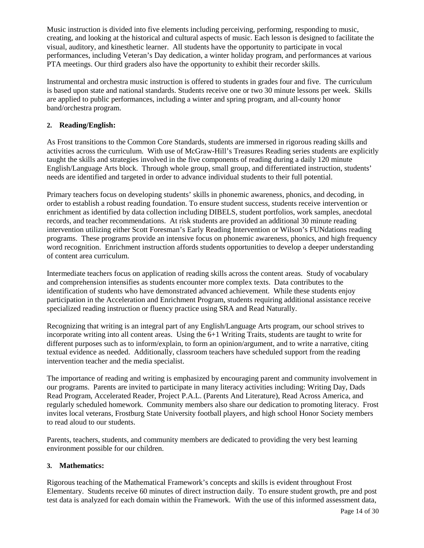Music instruction is divided into five elements including perceiving, performing, responding to music, creating, and looking at the historical and cultural aspects of music. Each lesson is designed to facilitate the visual, auditory, and kinesthetic learner. All students have the opportunity to participate in vocal performances, including Veteran's Day dedication, a winter holiday program, and performances at various PTA meetings. Our third graders also have the opportunity to exhibit their recorder skills.

Instrumental and orchestra music instruction is offered to students in grades four and five. The curriculum is based upon state and national standards. Students receive one or two 30 minute lessons per week. Skills are applied to public performances, including a winter and spring program, and all-county honor band/orchestra program.

#### **2. Reading/English:**

As Frost transitions to the Common Core Standards, students are immersed in rigorous reading skills and activities across the curriculum. With use of McGraw-Hill's Treasures Reading series students are explicitly taught the skills and strategies involved in the five components of reading during a daily 120 minute English/Language Arts block. Through whole group, small group, and differentiated instruction, students' needs are identified and targeted in order to advance individual students to their full potential.

Primary teachers focus on developing students' skills in phonemic awareness, phonics, and decoding, in order to establish a robust reading foundation. To ensure student success, students receive intervention or enrichment as identified by data collection including DIBELS, student portfolios, work samples, anecdotal records, and teacher recommendations. At risk students are provided an additional 30 minute reading intervention utilizing either Scott Foresman's Early Reading Intervention or Wilson's FUNdations reading programs. These programs provide an intensive focus on phonemic awareness, phonics, and high frequency word recognition. Enrichment instruction affords students opportunities to develop a deeper understanding of content area curriculum.

Intermediate teachers focus on application of reading skills across the content areas. Study of vocabulary and comprehension intensifies as students encounter more complex texts. Data contributes to the identification of students who have demonstrated advanced achievement. While these students enjoy participation in the Acceleration and Enrichment Program, students requiring additional assistance receive specialized reading instruction or fluency practice using SRA and Read Naturally.

Recognizing that writing is an integral part of any English/Language Arts program, our school strives to incorporate writing into all content areas. Using the 6+1 Writing Traits, students are taught to write for different purposes such as to inform/explain, to form an opinion/argument, and to write a narrative, citing textual evidence as needed. Additionally, classroom teachers have scheduled support from the reading intervention teacher and the media specialist.

The importance of reading and writing is emphasized by encouraging parent and community involvement in our programs. Parents are invited to participate in many literacy activities including: Writing Day, Dads Read Program, Accelerated Reader, Project P.A.L. (Parents And Literature), Read Across America, and regularly scheduled homework. Community members also share our dedication to promoting literacy. Frost invites local veterans, Frostburg State University football players, and high school Honor Society members to read aloud to our students.

Parents, teachers, students, and community members are dedicated to providing the very best learning environment possible for our children.

#### **3. Mathematics:**

Rigorous teaching of the Mathematical Framework's concepts and skills is evident throughout Frost Elementary. Students receive 60 minutes of direct instruction daily. To ensure student growth, pre and post test data is analyzed for each domain within the Framework. With the use of this informed assessment data,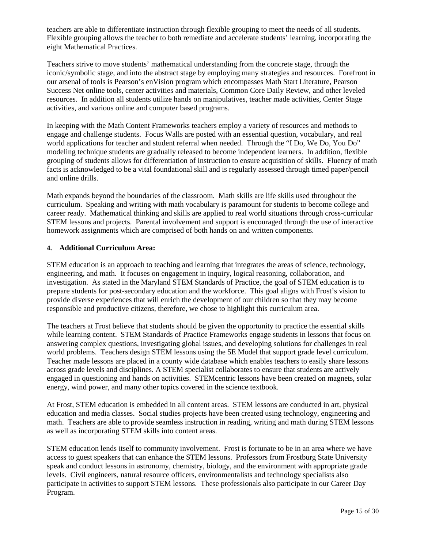teachers are able to differentiate instruction through flexible grouping to meet the needs of all students. Flexible grouping allows the teacher to both remediate and accelerate students' learning, incorporating the eight Mathematical Practices.

Teachers strive to move students' mathematical understanding from the concrete stage, through the iconic/symbolic stage, and into the abstract stage by employing many strategies and resources. Forefront in our arsenal of tools is Pearson's enVision program which encompasses Math Start Literature, Pearson Success Net online tools, center activities and materials, Common Core Daily Review, and other leveled resources. In addition all students utilize hands on manipulatives, teacher made activities, Center Stage activities, and various online and computer based programs.

In keeping with the Math Content Frameworks teachers employ a variety of resources and methods to engage and challenge students. Focus Walls are posted with an essential question, vocabulary, and real world applications for teacher and student referral when needed. Through the "I Do, We Do, You Do" modeling technique students are gradually released to become independent learners. In addition, flexible grouping of students allows for differentiation of instruction to ensure acquisition of skills. Fluency of math facts is acknowledged to be a vital foundational skill and is regularly assessed through timed paper/pencil and online drills.

Math expands beyond the boundaries of the classroom. Math skills are life skills used throughout the curriculum. Speaking and writing with math vocabulary is paramount for students to become college and career ready. Mathematical thinking and skills are applied to real world situations through cross-curricular STEM lessons and projects. Parental involvement and support is encouraged through the use of interactive homework assignments which are comprised of both hands on and written components.

#### **4. Additional Curriculum Area:**

STEM education is an approach to teaching and learning that integrates the areas of science, technology, engineering, and math. It focuses on engagement in inquiry, logical reasoning, collaboration, and investigation. As stated in the Maryland STEM Standards of Practice, the goal of STEM education is to prepare students for post-secondary education and the workforce. This goal aligns with Frost's vision to provide diverse experiences that will enrich the development of our children so that they may become responsible and productive citizens, therefore, we chose to highlight this curriculum area.

The teachers at Frost believe that students should be given the opportunity to practice the essential skills while learning content. STEM Standards of Practice Frameworks engage students in lessons that focus on answering complex questions, investigating global issues, and developing solutions for challenges in real world problems. Teachers design STEM lessons using the 5E Model that support grade level curriculum. Teacher made lessons are placed in a county wide database which enables teachers to easily share lessons across grade levels and disciplines. A STEM specialist collaborates to ensure that students are actively engaged in questioning and hands on activities. STEMcentric lessons have been created on magnets, solar energy, wind power, and many other topics covered in the science textbook.

At Frost, STEM education is embedded in all content areas. STEM lessons are conducted in art, physical education and media classes. Social studies projects have been created using technology, engineering and math. Teachers are able to provide seamless instruction in reading, writing and math during STEM lessons as well as incorporating STEM skills into content areas.

STEM education lends itself to community involvement. Frost is fortunate to be in an area where we have access to guest speakers that can enhance the STEM lessons. Professors from Frostburg State University speak and conduct lessons in astronomy, chemistry, biology, and the environment with appropriate grade levels. Civil engineers, natural resource officers, environmentalists and technology specialists also participate in activities to support STEM lessons. These professionals also participate in our Career Day Program.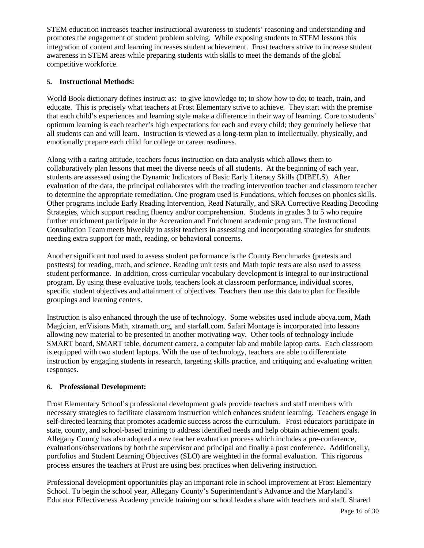STEM education increases teacher instructional awareness to students' reasoning and understanding and promotes the engagement of student problem solving. While exposing students to STEM lessons this integration of content and learning increases student achievement. Frost teachers strive to increase student awareness in STEM areas while preparing students with skills to meet the demands of the global competitive workforce.

#### **5. Instructional Methods:**

World Book dictionary defines instruct as: to give knowledge to; to show how to do; to teach, train, and educate. This is precisely what teachers at Frost Elementary strive to achieve. They start with the premise that each child's experiences and learning style make a difference in their way of learning. Core to students' optimum learning is each teacher's high expectations for each and every child; they genuinely believe that all students can and will learn. Instruction is viewed as a long-term plan to intellectually, physically, and emotionally prepare each child for college or career readiness.

Along with a caring attitude, teachers focus instruction on data analysis which allows them to collaboratively plan lessons that meet the diverse needs of all students. At the beginning of each year, students are assessed using the Dynamic Indicators of Basic Early Literacy Skills (DIBELS). After evaluation of the data, the principal collaborates with the reading intervention teacher and classroom teacher to determine the appropriate remediation. One program used is Fundations, which focuses on phonics skills. Other programs include Early Reading Intervention, Read Naturally, and SRA Corrective Reading Decoding Strategies, which support reading fluency and/or comprehension. Students in grades 3 to 5 who require further enrichment participate in the Acceration and Enrichment academic program. The Instructional Consultation Team meets biweekly to assist teachers in assessing and incorporating strategies for students needing extra support for math, reading, or behavioral concerns.

Another significant tool used to assess student performance is the County Benchmarks (pretests and posttests) for reading, math, and science. Reading unit tests and Math topic tests are also used to assess student performance. In addition, cross-curricular vocabulary development is integral to our instructional program. By using these evaluative tools, teachers look at classroom performance, individual scores, specific student objectives and attainment of objectives. Teachers then use this data to plan for flexible groupings and learning centers.

Instruction is also enhanced through the use of technology. Some websites used include abcya.com, Math Magician, enVisions Math, xtramath.org, and starfall.com. Safari Montage is incorporated into lessons allowing new material to be presented in another motivating way. Other tools of technology include SMART board, SMART table, document camera, a computer lab and mobile laptop carts. Each classroom is equipped with two student laptops. With the use of technology, teachers are able to differentiate instruction by engaging students in research, targeting skills practice, and critiquing and evaluating written responses.

#### **6. Professional Development:**

Frost Elementary School's professional development goals provide teachers and staff members with necessary strategies to facilitate classroom instruction which enhances student learning. Teachers engage in self-directed learning that promotes academic success across the curriculum. Frost educators participate in state, county, and school-based training to address identified needs and help obtain achievement goals. Allegany County has also adopted a new teacher evaluation process which includes a pre-conference, evaluations/observations by both the supervisor and principal and finally a post conference. Additionally, portfolios and Student Learning Objectives (SLO) are weighted in the formal evaluation. This rigorous process ensures the teachers at Frost are using best practices when delivering instruction.

Professional development opportunities play an important role in school improvement at Frost Elementary School. To begin the school year, Allegany County's Superintendant's Advance and the Maryland's Educator Effectiveness Academy provide training our school leaders share with teachers and staff. Shared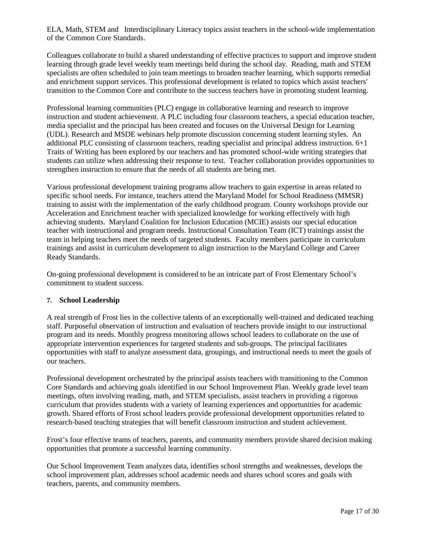ELA, Math, STEM and Interdisciplinary Literacy topics assist teachers in the school-wide implementation of the Common Core Standards.

Colleagues collaborate to build a shared understanding of effective practices to support and improve student learning through grade level weekly team meetings held during the school day. Reading, math and STEM specialists are often scheduled to join team meetings to broaden teacher learning, which supports remedial and enrichment support services. This professional development is related to topics which assist teachers' transition to the Common Core and contribute to the success teachers have in promoting student learning.

Professional learning communities (PLC) engage in collaborative learning and research to improve instruction and student achievement. A PLC including four classroom teachers, a special education teacher, media specialist and the principal has been created and focuses on the Universal Design for Learning (UDL). Research and MSDE webinars help promote discussion concerning student learning styles. An additional PLC consisting of classroom teachers, reading specialist and principal address instruction. 6+1 Traits of Writing has been explored by our teachers and has promoted school-wide writing strategies that students can utilize when addressing their response to text. Teacher collaboration provides opportunities to strengthen instruction to ensure that the needs of all students are being met.

Various professional development training programs allow teachers to gain expertise in areas related to specific school needs. For instance, teachers attend the Maryland Model for School Readiness (MMSR) training to assist with the implementation of the early childhood program. County workshops provide our Acceleration and Enrichment teacher with specialized knowledge for working effectively with high achieving students. Maryland Coalition for Inclusion Education (MCIE) assists our special education teacher with instructional and program needs. Instructional Consultation Team (ICT) trainings assist the team in helping teachers meet the needs of targeted students. Faculty members participate in curriculum trainings and assist in curriculum development to align instruction to the Maryland College and Career Ready Standards.

On-going professional development is considered to be an intricate part of Frost Elementary School's commitment to student success.

#### **7. School Leadership**

A real strength of Frost lies in the collective talents of an exceptionally well-trained and dedicated teaching staff. Purposeful observation of instruction and evaluation of teachers provide insight to our instructional program and its needs. Monthly progress monitoring allows school leaders to collaborate on the use of appropriate intervention experiences for targeted students and sub-groups. The principal facilitates opportunities with staff to analyze assessment data, groupings, and instructional needs to meet the goals of our teachers.

Professional development orchestrated by the principal assists teachers with transitioning to the Common Core Standards and achieving goals identified in our School Improvement Plan. Weekly grade level team meetings, often involving reading, math, and STEM specialists, assist teachers in providing a rigorous curriculum that provides students with a variety of learning experiences and opportunities for academic growth. Shared efforts of Frost school leaders provide professional development opportunities related to research-based teaching strategies that will benefit classroom instruction and student achievement.

Frost's four effective teams of teachers, parents, and community members provide shared decision making opportunities that promote a successful learning community.

Our School Improvement Team analyzes data, identifies school strengths and weaknesses, develops the school improvement plan, addresses school academic needs and shares school scores and goals with teachers, parents, and community members.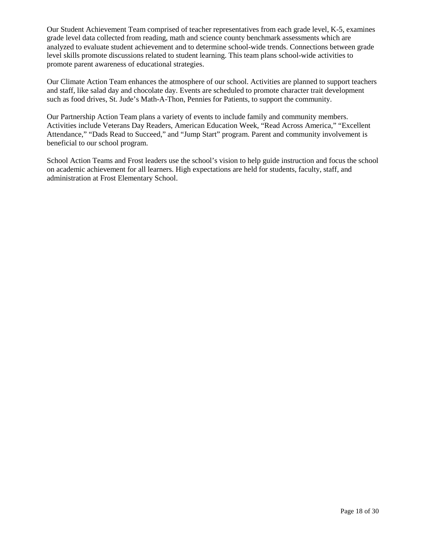Our Student Achievement Team comprised of teacher representatives from each grade level, K-5, examines grade level data collected from reading, math and science county benchmark assessments which are analyzed to evaluate student achievement and to determine school-wide trends. Connections between grade level skills promote discussions related to student learning. This team plans school-wide activities to promote parent awareness of educational strategies.

Our Climate Action Team enhances the atmosphere of our school. Activities are planned to support teachers and staff, like salad day and chocolate day. Events are scheduled to promote character trait development such as food drives, St. Jude's Math-A-Thon, Pennies for Patients, to support the community.

Our Partnership Action Team plans a variety of events to include family and community members. Activities include Veterans Day Readers, American Education Week, "Read Across America," "Excellent Attendance," "Dads Read to Succeed," and "Jump Start" program. Parent and community involvement is beneficial to our school program.

School Action Teams and Frost leaders use the school's vision to help guide instruction and focus the school on academic achievement for all learners. High expectations are held for students, faculty, staff, and administration at Frost Elementary School.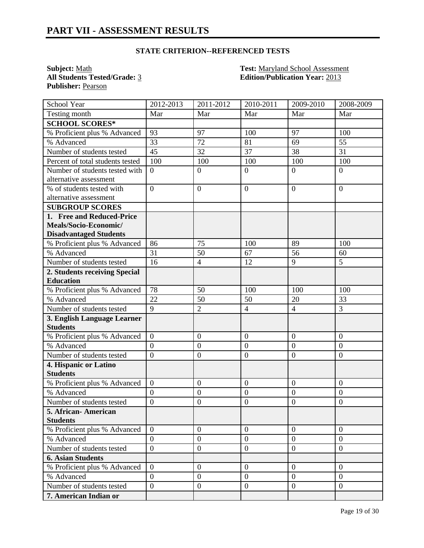**Publisher:** Pearson

**Subject:** <u>Math **Test:** Maryland School Assessment</u><br> **All Students Tested/Grade:** <u>3</u> **Test: Edition/Publication Year:** 2013 **All Students Tested/Grade:** 3 **Edition/Publication Year:** 2013

| School Year                      | 2012-2013        | 2011-2012        | $2010 - 2011$    | 2009-2010        | 2008-2009        |
|----------------------------------|------------------|------------------|------------------|------------------|------------------|
| Testing month                    | Mar              | Mar              | Mar              | Mar              | Mar              |
| <b>SCHOOL SCORES*</b>            |                  |                  |                  |                  |                  |
| % Proficient plus % Advanced     | 93               | 97               | 100              | 97               | 100              |
| % Advanced                       | 33               | 72               | 81               | 69               | 55               |
| Number of students tested        | 45               | 32               | 37               | 38               | 31               |
| Percent of total students tested | 100              | 100              | 100              | 100              | 100              |
| Number of students tested with   | $\overline{0}$   | $\boldsymbol{0}$ | $\overline{0}$   | $\theta$         | $\overline{0}$   |
| alternative assessment           |                  |                  |                  |                  |                  |
| % of students tested with        | $\overline{0}$   | $\overline{0}$   | $\overline{0}$   | $\theta$         | $\overline{0}$   |
| alternative assessment           |                  |                  |                  |                  |                  |
| <b>SUBGROUP SCORES</b>           |                  |                  |                  |                  |                  |
| 1. Free and Reduced-Price        |                  |                  |                  |                  |                  |
| Meals/Socio-Economic/            |                  |                  |                  |                  |                  |
| <b>Disadvantaged Students</b>    |                  |                  |                  |                  |                  |
| % Proficient plus % Advanced     | 86               | 75               | 100              | 89               | 100              |
| % Advanced                       | 31               | 50               | 67               | 56               | 60               |
| Number of students tested        | 16               | $\overline{4}$   | 12               | 9                | 5                |
| 2. Students receiving Special    |                  |                  |                  |                  |                  |
| <b>Education</b>                 |                  |                  |                  |                  |                  |
| % Proficient plus % Advanced     | 78               | 50               | 100              | 100              | 100              |
| % Advanced                       | 22               | 50               | 50               | 20               | 33               |
| Number of students tested        | 9                | $\overline{2}$   | $\overline{4}$   | $\overline{4}$   | 3                |
| 3. English Language Learner      |                  |                  |                  |                  |                  |
| <b>Students</b>                  |                  |                  |                  |                  |                  |
| % Proficient plus % Advanced     | $\overline{0}$   | $\boldsymbol{0}$ | $\mathbf{0}$     | $\overline{0}$   | $\overline{0}$   |
| % Advanced                       | $\overline{0}$   | $\mathbf{0}$     | $\overline{0}$   | $\overline{0}$   | $\overline{0}$   |
| Number of students tested        | $\overline{0}$   | $\boldsymbol{0}$ | $\overline{0}$   | $\boldsymbol{0}$ | $\boldsymbol{0}$ |
| 4. Hispanic or Latino            |                  |                  |                  |                  |                  |
| <b>Students</b>                  |                  |                  |                  |                  |                  |
| % Proficient plus % Advanced     | $\overline{0}$   | $\boldsymbol{0}$ | $\overline{0}$   | $\overline{0}$   | $\overline{0}$   |
| % Advanced                       | $\overline{0}$   | $\boldsymbol{0}$ | $\overline{0}$   | $\boldsymbol{0}$ | $\overline{0}$   |
| Number of students tested        | $\overline{0}$   | $\boldsymbol{0}$ | $\mathbf{0}$     | $\boldsymbol{0}$ | $\boldsymbol{0}$ |
| 5. African-American              |                  |                  |                  |                  |                  |
| <b>Students</b>                  |                  |                  |                  |                  |                  |
| % Proficient plus % Advanced     | $\overline{0}$   | $\mathbf{0}$     | $\mathbf{0}$     | $\overline{0}$   | $\overline{0}$   |
| % Advanced                       | $\overline{0}$   | $\boldsymbol{0}$ | $\boldsymbol{0}$ | $\overline{0}$   | $\overline{0}$   |
| Number of students tested        | $\boldsymbol{0}$ | $\overline{0}$   | $\overline{0}$   | $\overline{0}$   | $\mathbf{0}$     |
| <b>6. Asian Students</b>         |                  |                  |                  |                  |                  |
| % Proficient plus % Advanced     | $\overline{0}$   | $\overline{0}$   | $\overline{0}$   | $\overline{0}$   | $\Omega$         |
| % Advanced                       | $\overline{0}$   | $\mathbf{0}$     | $\boldsymbol{0}$ | $\overline{0}$   | $\mathbf{0}$     |
| Number of students tested        | $\boldsymbol{0}$ | $\boldsymbol{0}$ | $\boldsymbol{0}$ | $\overline{0}$   | $\mathbf{0}$     |
| 7. American Indian or            |                  |                  |                  |                  |                  |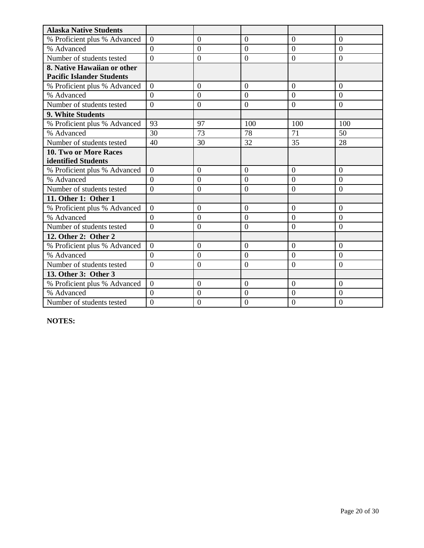| <b>Alaska Native Students</b>    |                |                |                |                |                |
|----------------------------------|----------------|----------------|----------------|----------------|----------------|
| % Proficient plus % Advanced     | $\overline{0}$ | $\overline{0}$ | $\overline{0}$ | $\overline{0}$ | $\overline{0}$ |
| % Advanced                       | $\overline{0}$ | $\overline{0}$ | $\overline{0}$ | $\overline{0}$ | $\overline{0}$ |
| Number of students tested        | $\theta$       | $\overline{0}$ | $\overline{0}$ | $\overline{0}$ | $\overline{0}$ |
| 8. Native Hawaiian or other      |                |                |                |                |                |
| <b>Pacific Islander Students</b> |                |                |                |                |                |
| % Proficient plus % Advanced     | $\Omega$       | $\overline{0}$ | $\overline{0}$ | $\overline{0}$ | $\overline{0}$ |
| % Advanced                       | $\theta$       | $\overline{0}$ | $\theta$       | $\theta$       | $\theta$       |
| Number of students tested        | $\Omega$       | $\theta$       | $\Omega$       | $\overline{0}$ | $\Omega$       |
| 9. White Students                |                |                |                |                |                |
| % Proficient plus % Advanced     | 93             | 97             | 100            | 100            | 100            |
| % Advanced                       | 30             | 73             | 78             | 71             | 50             |
| Number of students tested        | 40             | 30             | 32             | 35             | 28             |
| 10. Two or More Races            |                |                |                |                |                |
| identified Students              |                |                |                |                |                |
| % Proficient plus % Advanced     | $\theta$       | $\Omega$       | $\Omega$       | $\Omega$       | $\Omega$       |
| % Advanced                       | $\overline{0}$ | $\overline{0}$ | $\overline{0}$ | $\overline{0}$ | $\overline{0}$ |
| Number of students tested        | $\overline{0}$ | $\overline{0}$ | $\overline{0}$ | $\overline{0}$ | $\Omega$       |
| 11. Other 1: Other 1             |                |                |                |                |                |
| % Proficient plus % Advanced     | $\overline{0}$ | $\overline{0}$ | $\overline{0}$ | $\overline{0}$ | $\overline{0}$ |
| % Advanced                       | $\theta$       | $\overline{0}$ | $\theta$       | $\overline{0}$ | $\theta$       |
| Number of students tested        | $\overline{0}$ | $\overline{0}$ | $\overline{0}$ | $\Omega$       | $\Omega$       |
| 12. Other 2: Other 2             |                |                |                |                |                |
| % Proficient plus % Advanced     | $\theta$       | $\overline{0}$ | $\Omega$       | $\overline{0}$ | $\Omega$       |
| % Advanced                       | $\Omega$       | $\overline{0}$ | $\Omega$       | $\Omega$       | $\Omega$       |
| Number of students tested        | $\overline{0}$ | $\overline{0}$ | $\overline{0}$ | $\overline{0}$ | $\overline{0}$ |
| 13. Other 3: Other 3             |                |                |                |                |                |
| % Proficient plus % Advanced     | $\Omega$       | $\Omega$       | $\Omega$       | $\Omega$       | $\theta$       |
| % Advanced                       | $\overline{0}$ | $\overline{0}$ | $\theta$       | $\mathbf{0}$   | $\theta$       |
| Number of students tested        | $\overline{0}$ | $\overline{0}$ | $\overline{0}$ | $\overline{0}$ | $\theta$       |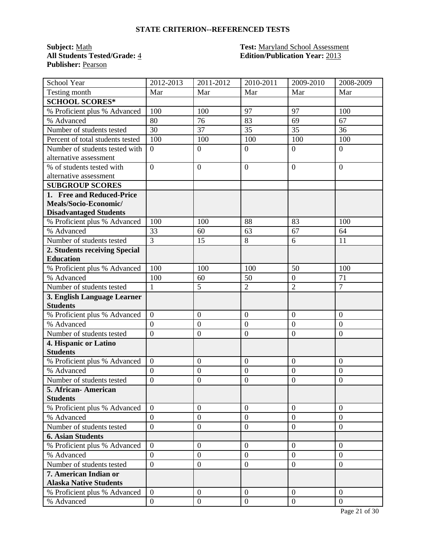**Publisher:** Pearson

#### **Subject:** <u>Math **Test:** Maryland School Assessment</u><br> **All Students Tested/Grade:** 4 **Test: Edition/Publication Year:** 2013 **All Students Tested/Grade:** 4 **Edition/Publication Year:** 2013

| School Year                      | 2012-2013                        | 2011-2012        | 2010-2011      | 2009-2010                  | 2008-2009        |
|----------------------------------|----------------------------------|------------------|----------------|----------------------------|------------------|
| Testing month                    | Mar                              | Mar              | Mar            | Mar                        | Mar              |
| <b>SCHOOL SCORES*</b>            |                                  |                  |                |                            |                  |
| % Proficient plus % Advanced     | 100                              | 100              | 97             | 97                         | 100              |
| % Advanced                       | 80                               | 76               | 83             | 69                         | 67               |
| Number of students tested        | 30                               | 37               | 35             | 35                         | 36               |
| Percent of total students tested | 100                              | 100              | 100            | 100                        | 100              |
| Number of students tested with   | $\overline{0}$                   | $\boldsymbol{0}$ | $\mathbf{0}$   | $\overline{0}$             | $\overline{0}$   |
| alternative assessment           |                                  |                  |                |                            |                  |
| % of students tested with        | $\overline{0}$                   | $\overline{0}$   | $\overline{0}$ | $\overline{0}$             | $\overline{0}$   |
| alternative assessment           |                                  |                  |                |                            |                  |
| <b>SUBGROUP SCORES</b>           |                                  |                  |                |                            |                  |
| 1. Free and Reduced-Price        |                                  |                  |                |                            |                  |
| Meals/Socio-Economic/            |                                  |                  |                |                            |                  |
| <b>Disadvantaged Students</b>    |                                  |                  |                |                            |                  |
| % Proficient plus % Advanced     | 100                              | 100              | 88             | 83                         | 100              |
| % Advanced                       | 33                               | 60               | 63             | 67                         | 64               |
| Number of students tested        | $\overline{3}$                   | 15               | 8              | 6                          | 11               |
| 2. Students receiving Special    |                                  |                  |                |                            |                  |
| <b>Education</b>                 |                                  |                  |                |                            |                  |
| % Proficient plus % Advanced     | 100                              | 100              | 100            | 50                         | 100              |
| % Advanced                       | 100                              | 60               | 50             | $\boldsymbol{0}$           | 71               |
| Number of students tested        | $\mathbf{1}$                     | 5                | $\overline{2}$ | $\overline{2}$             | $\overline{7}$   |
| 3. English Language Learner      |                                  |                  |                |                            |                  |
| <b>Students</b>                  |                                  |                  |                |                            |                  |
| % Proficient plus % Advanced     | $\overline{0}$                   | $\overline{0}$   | $\overline{0}$ | $\overline{0}$             | $\overline{0}$   |
| % Advanced                       | $\overline{0}$                   | $\boldsymbol{0}$ | $\overline{0}$ | $\overline{0}$             | $\overline{0}$   |
| Number of students tested        | $\overline{0}$                   | $\boldsymbol{0}$ | $\overline{0}$ | $\boldsymbol{0}$           | $\boldsymbol{0}$ |
| 4. Hispanic or Latino            |                                  |                  |                |                            |                  |
| <b>Students</b>                  |                                  |                  |                |                            |                  |
| % Proficient plus % Advanced     | $\boldsymbol{0}$                 | $\boldsymbol{0}$ | $\overline{0}$ | $\overline{0}$             | $\overline{0}$   |
| % Advanced                       | $\overline{0}$                   | $\boldsymbol{0}$ | $\overline{0}$ | $\overline{0}$             | $\overline{0}$   |
| Number of students tested        | $\overline{0}$                   | $\boldsymbol{0}$ | $\overline{0}$ | $\overline{0}$             | $\overline{0}$   |
| 5. African-American              |                                  |                  |                |                            |                  |
| <b>Students</b>                  |                                  |                  |                |                            |                  |
| % Proficient plus % Advanced     | $\overline{0}$                   | $\boldsymbol{0}$ | $\mathbf{0}$   | $\overline{0}$             | $\overline{0}$   |
| % Advanced                       | $\overline{0}$<br>$\overline{0}$ | $\boldsymbol{0}$ | $\mathbf{0}$   | $\theta$<br>$\overline{0}$ | $\overline{0}$   |
| Number of students tested        |                                  | $\boldsymbol{0}$ | $\overline{0}$ |                            | $\overline{0}$   |
| <b>6. Asian Students</b>         |                                  |                  |                |                            |                  |
| % Proficient plus % Advanced     | $\overline{0}$                   | $\overline{0}$   | $\overline{0}$ | $\overline{0}$             | $\overline{0}$   |
| % Advanced                       | $\overline{0}$                   | $\boldsymbol{0}$ | $\overline{0}$ | $\theta$                   | $\overline{0}$   |
| Number of students tested        | $\overline{0}$                   | $\boldsymbol{0}$ | $\mathbf{0}$   | $\mathbf{0}$               | $\overline{0}$   |
| 7. American Indian or            |                                  |                  |                |                            |                  |
| <b>Alaska Native Students</b>    |                                  |                  |                |                            |                  |
| % Proficient plus % Advanced     | $\overline{0}$                   | $\overline{0}$   | $\overline{0}$ | $\overline{0}$             | $\overline{0}$   |
| % Advanced                       | $\boldsymbol{0}$                 | $\boldsymbol{0}$ | $\mathbf{0}$   | $\overline{0}$             | $\overline{0}$   |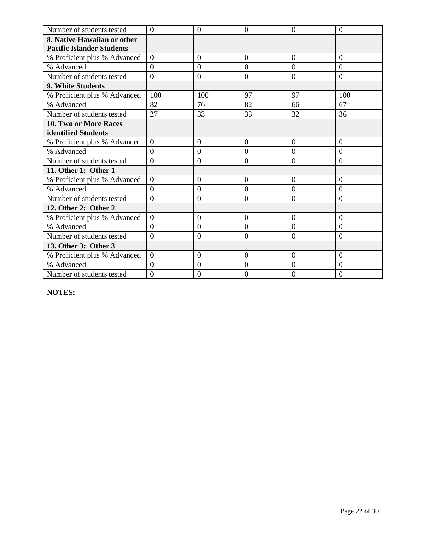| Number of students tested        | $\Omega$       | $\overline{0}$   | $\overline{0}$ | $\Omega$       | $\theta$       |
|----------------------------------|----------------|------------------|----------------|----------------|----------------|
| 8. Native Hawaiian or other      |                |                  |                |                |                |
| <b>Pacific Islander Students</b> |                |                  |                |                |                |
| % Proficient plus % Advanced     | $\overline{0}$ | $\overline{0}$   | $\overline{0}$ | $\overline{0}$ | $\overline{0}$ |
| % Advanced                       | $\overline{0}$ | $\overline{0}$   | $\overline{0}$ | $\overline{0}$ | $\Omega$       |
| Number of students tested        | $\overline{0}$ | $\overline{0}$   | $\overline{0}$ | $\Omega$       | $\overline{0}$ |
| 9. White Students                |                |                  |                |                |                |
| % Proficient plus % Advanced     | 100            | 100              | 97             | 97             | 100            |
| % Advanced                       | 82             | 76               | 82             | 66             | 67             |
| Number of students tested        | 27             | 33               | 33             | 32             | 36             |
| 10. Two or More Races            |                |                  |                |                |                |
| identified Students              |                |                  |                |                |                |
| % Proficient plus % Advanced     | $\theta$       | $\theta$         | $\Omega$       | $\theta$       | $\Omega$       |
| % Advanced                       | $\overline{0}$ | $\theta$         | $\overline{0}$ | $\theta$       | $\overline{0}$ |
| Number of students tested        | $\overline{0}$ | $\overline{0}$   | $\overline{0}$ | $\overline{0}$ | $\overline{0}$ |
| 11. Other 1: Other 1             |                |                  |                |                |                |
| % Proficient plus % Advanced     | $\overline{0}$ | $\overline{0}$   | $\overline{0}$ | $\overline{0}$ | $\Omega$       |
| % Advanced                       | $\theta$       | $\theta$         | $\overline{0}$ | $\overline{0}$ | $\overline{0}$ |
| Number of students tested        | $\overline{0}$ | $\overline{0}$   | $\overline{0}$ | $\overline{0}$ | $\overline{0}$ |
| 12. Other 2: Other 2             |                |                  |                |                |                |
| % Proficient plus % Advanced     | $\overline{0}$ | $\overline{0}$   | $\overline{0}$ | $\overline{0}$ | $\overline{0}$ |
| % Advanced                       | $\Omega$       | $\boldsymbol{0}$ | $\overline{0}$ | $\overline{0}$ | $\overline{0}$ |
| Number of students tested        | $\overline{0}$ | $\theta$         | $\overline{0}$ | $\overline{0}$ | $\overline{0}$ |
| 13. Other 3: Other 3             |                |                  |                |                |                |
| % Proficient plus % Advanced     | $\overline{0}$ | $\overline{0}$   | $\overline{0}$ | $\overline{0}$ | $\overline{0}$ |
| % Advanced                       | $\Omega$       | $\theta$         | $\overline{0}$ | $\overline{0}$ | $\Omega$       |
| Number of students tested        | $\overline{0}$ | $\overline{0}$   | $\overline{0}$ | $\Omega$       | $\overline{0}$ |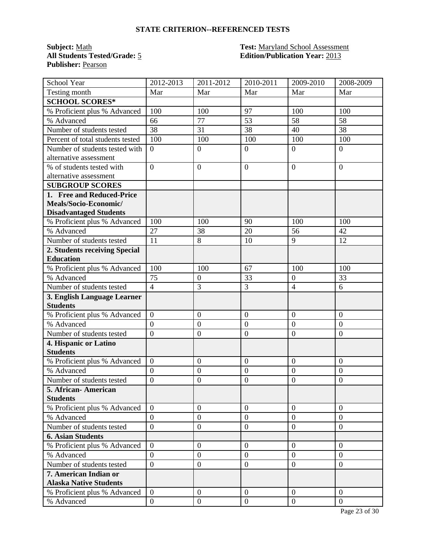**Publisher:** Pearson

#### **Subject:** <u>Math **Test:** Maryland School Assessment</u><br> **All Students Tested/Grade:** 5 **Test: Edition/Publication Year:** 2013 **Edition/Publication Year: 2013**

| School Year                      | 2012-2013        | 2011-2012        | 2010-2011        | 2009-2010        | 2008-2009      |
|----------------------------------|------------------|------------------|------------------|------------------|----------------|
| Testing month                    | Mar              | Mar              | Mar              | Mar              | Mar            |
| <b>SCHOOL SCORES*</b>            |                  |                  |                  |                  |                |
| % Proficient plus % Advanced     | 100              | 100              | 97               | 100              | 100            |
| % Advanced                       | 66               | 77               | 53               | 58               | 58             |
| Number of students tested        | 38               | 31               | 38               | 40               | 38             |
| Percent of total students tested | 100              | 100              | 100              | 100              | 100            |
| Number of students tested with   | $\overline{0}$   | $\overline{0}$   | $\boldsymbol{0}$ | $\overline{0}$   | $\overline{0}$ |
| alternative assessment           |                  |                  |                  |                  |                |
| % of students tested with        | $\overline{0}$   | $\overline{0}$   | $\boldsymbol{0}$ | $\overline{0}$   | $\overline{0}$ |
| alternative assessment           |                  |                  |                  |                  |                |
| <b>SUBGROUP SCORES</b>           |                  |                  |                  |                  |                |
| 1. Free and Reduced-Price        |                  |                  |                  |                  |                |
| Meals/Socio-Economic/            |                  |                  |                  |                  |                |
| <b>Disadvantaged Students</b>    |                  |                  |                  |                  |                |
| % Proficient plus % Advanced     | 100              | 100              | 90               | 100              | 100            |
| % Advanced                       | 27               | 38               | 20               | 56               | 42             |
| Number of students tested        | 11               | 8                | 10               | 9                | 12             |
| 2. Students receiving Special    |                  |                  |                  |                  |                |
| <b>Education</b>                 |                  |                  |                  |                  |                |
| % Proficient plus % Advanced     | 100              | 100              | 67               | 100              | 100            |
| % Advanced                       | 75               | $\boldsymbol{0}$ | 33               | $\overline{0}$   | 33             |
| Number of students tested        | $\overline{4}$   | 3                | 3                | $\overline{4}$   | 6              |
| 3. English Language Learner      |                  |                  |                  |                  |                |
| <b>Students</b>                  |                  |                  |                  |                  |                |
| % Proficient plus % Advanced     | $\overline{0}$   | $\overline{0}$   | $\overline{0}$   | $\overline{0}$   | $\overline{0}$ |
| % Advanced                       | $\overline{0}$   | $\boldsymbol{0}$ | $\overline{0}$   | $\mathbf{0}$     | $\overline{0}$ |
| Number of students tested        | $\overline{0}$   | $\boldsymbol{0}$ | $\boldsymbol{0}$ | $\overline{0}$   | $\overline{0}$ |
| 4. Hispanic or Latino            |                  |                  |                  |                  |                |
| <b>Students</b>                  |                  |                  |                  |                  |                |
| % Proficient plus % Advanced     | $\overline{0}$   | $\boldsymbol{0}$ | $\overline{0}$   | $\boldsymbol{0}$ | $\overline{0}$ |
| % Advanced                       | $\overline{0}$   | $\boldsymbol{0}$ | $\boldsymbol{0}$ | $\boldsymbol{0}$ | $\mathbf{0}$   |
| Number of students tested        | $\overline{0}$   | $\overline{0}$   | $\overline{0}$   | $\overline{0}$   | $\overline{0}$ |
| 5. African- American             |                  |                  |                  |                  |                |
| <b>Students</b>                  |                  |                  |                  |                  |                |
| % Proficient plus % Advanced     | $\Omega$         | $\overline{0}$   | $\overline{0}$   | $\overline{0}$   | $\overline{0}$ |
| % Advanced                       | $\overline{0}$   | $\boldsymbol{0}$ | $\mathbf{0}$     | $\overline{0}$   | $\overline{0}$ |
| Number of students tested        | $\overline{0}$   | $\boldsymbol{0}$ | $\mathbf{0}$     | $\overline{0}$   | $\overline{0}$ |
| <b>6. Asian Students</b>         |                  |                  |                  |                  |                |
| % Proficient plus % Advanced     | $\overline{0}$   | $\boldsymbol{0}$ | $\overline{0}$   | $\overline{0}$   | $\overline{0}$ |
| % Advanced                       | $\overline{0}$   | $\overline{0}$   | $\overline{0}$   | $\overline{0}$   | $\overline{0}$ |
| Number of students tested        | $\overline{0}$   | $\boldsymbol{0}$ | $\mathbf{0}$     | $\overline{0}$   | $\overline{0}$ |
| 7. American Indian or            |                  |                  |                  |                  |                |
| <b>Alaska Native Students</b>    |                  |                  |                  |                  |                |
| % Proficient plus % Advanced     | $\theta$         | $\overline{0}$   | $\mathbf{0}$     | $\theta$         | $\overline{0}$ |
| % Advanced                       | $\boldsymbol{0}$ | $\boldsymbol{0}$ | $\overline{0}$   | $\overline{0}$   | $\overline{0}$ |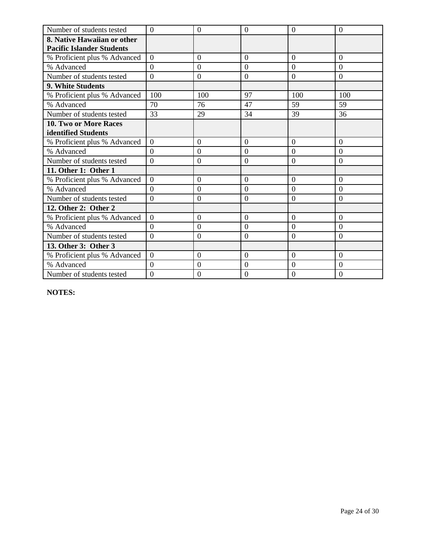| Number of students tested        | $\overline{0}$ | $\overline{0}$   | $\overline{0}$   | $\overline{0}$ | $\overline{0}$   |
|----------------------------------|----------------|------------------|------------------|----------------|------------------|
| 8. Native Hawaiian or other      |                |                  |                  |                |                  |
| <b>Pacific Islander Students</b> |                |                  |                  |                |                  |
| % Proficient plus % Advanced     | $\overline{0}$ | $\overline{0}$   | $\overline{0}$   | $\overline{0}$ | $\overline{0}$   |
| % Advanced                       | $\overline{0}$ | $\overline{0}$   | $\overline{0}$   | $\overline{0}$ | $\overline{0}$   |
| Number of students tested        | $\overline{0}$ | $\mathbf{0}$     | $\overline{0}$   | $\overline{0}$ | $\overline{0}$   |
| <b>9. White Students</b>         |                |                  |                  |                |                  |
| % Proficient plus % Advanced     | 100            | 100              | 97               | 100            | 100              |
| % Advanced                       | 70             | 76               | 47               | 59             | 59               |
| Number of students tested        | 33             | 29               | 34               | 39             | 36               |
| 10. Two or More Races            |                |                  |                  |                |                  |
| identified Students              |                |                  |                  |                |                  |
| % Proficient plus % Advanced     | $\overline{0}$ | $\overline{0}$   | $\overline{0}$   | $\overline{0}$ | $\overline{0}$   |
| % Advanced                       | $\overline{0}$ | $\boldsymbol{0}$ | $\boldsymbol{0}$ | $\overline{0}$ | $\boldsymbol{0}$ |
| Number of students tested        | $\overline{0}$ | $\overline{0}$   | $\boldsymbol{0}$ | $\overline{0}$ | $\overline{0}$   |
| 11. Other 1: Other 1             |                |                  |                  |                |                  |
| % Proficient plus % Advanced     | $\overline{0}$ | $\overline{0}$   | $\overline{0}$   | $\overline{0}$ | $\overline{0}$   |
| % Advanced                       | $\overline{0}$ | $\overline{0}$   | $\overline{0}$   | $\overline{0}$ | $\overline{0}$   |
| Number of students tested        | $\overline{0}$ | $\mathbf{0}$     | $\boldsymbol{0}$ | $\overline{0}$ | $\overline{0}$   |
| 12. Other 2: Other 2             |                |                  |                  |                |                  |
| % Proficient plus % Advanced     | $\overline{0}$ | $\overline{0}$   | $\overline{0}$   | $\overline{0}$ | $\overline{0}$   |
| % Advanced                       | $\theta$       | $\overline{0}$   | $\overline{0}$   | $\overline{0}$ | $\overline{0}$   |
| Number of students tested        | $\overline{0}$ | $\theta$         | $\overline{0}$   | $\overline{0}$ | $\overline{0}$   |
| 13. Other 3: Other 3             |                |                  |                  |                |                  |
| % Proficient plus % Advanced     | $\overline{0}$ | $\overline{0}$   | $\overline{0}$   | $\overline{0}$ | $\overline{0}$   |
| % Advanced                       | $\Omega$       | $\theta$         | $\overline{0}$   | $\overline{0}$ | $\Omega$         |
| Number of students tested        | $\overline{0}$ | $\overline{0}$   | $\overline{0}$   | $\Omega$       | $\overline{0}$   |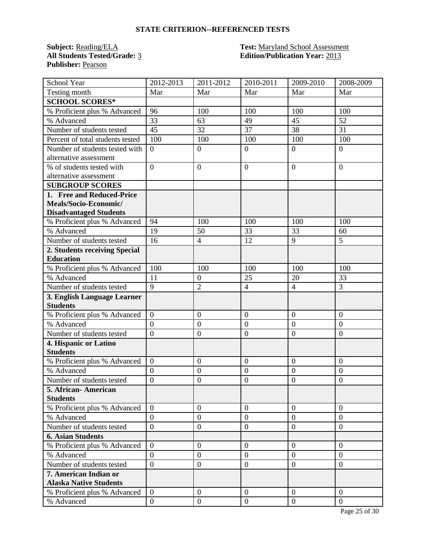**Publisher:** Pearson

# **Subject:** <u>Reading/ELA</u> **Test:** <u>Maryland School Assessment</u><br> **All Students Tested/Grade:** <u>3</u> **Test: Edition/Publication Year:** 2013 **Edition/Publication Year: 2013**

| School Year                      | 2012-2013        | 2011-2012        | 2010-2011        | 2009-2010        | 2008-2009      |
|----------------------------------|------------------|------------------|------------------|------------------|----------------|
| Testing month                    | Mar              | Mar              | Mar              | Mar              | Mar            |
| <b>SCHOOL SCORES*</b>            |                  |                  |                  |                  |                |
| % Proficient plus % Advanced     | 96               | 100              | 100              | 100              | 100            |
| % Advanced                       | 33               | 63               | 49               | 45               | 52             |
| Number of students tested        | 45               | 32               | 37               | 38               | 31             |
| Percent of total students tested | 100              | 100              | 100              | 100              | 100            |
| Number of students tested with   | $\overline{0}$   | $\overline{0}$   | $\boldsymbol{0}$ | $\overline{0}$   | $\overline{0}$ |
| alternative assessment           |                  |                  |                  |                  |                |
| % of students tested with        | $\overline{0}$   | $\overline{0}$   | $\boldsymbol{0}$ | $\overline{0}$   | $\overline{0}$ |
| alternative assessment           |                  |                  |                  |                  |                |
| <b>SUBGROUP SCORES</b>           |                  |                  |                  |                  |                |
| 1. Free and Reduced-Price        |                  |                  |                  |                  |                |
| Meals/Socio-Economic/            |                  |                  |                  |                  |                |
| <b>Disadvantaged Students</b>    |                  |                  |                  |                  |                |
| % Proficient plus % Advanced     | 94               | 100              | 100              | 100              | 100            |
| % Advanced                       | 19               | 50               | 33               | 33               | 60             |
| Number of students tested        | 16               | $\overline{4}$   | 12               | 9                | 5              |
| 2. Students receiving Special    |                  |                  |                  |                  |                |
| <b>Education</b>                 |                  |                  |                  |                  |                |
| % Proficient plus % Advanced     | 100              | 100              | 100              | 100              | 100            |
| % Advanced                       | 11               | $\boldsymbol{0}$ | 25               | 20               | 33             |
| Number of students tested        | 9                | $\overline{2}$   | $\overline{4}$   | $\overline{4}$   | 3              |
| 3. English Language Learner      |                  |                  |                  |                  |                |
| <b>Students</b>                  |                  |                  |                  |                  |                |
| % Proficient plus % Advanced     | $\overline{0}$   | $\overline{0}$   | $\overline{0}$   | $\overline{0}$   | $\overline{0}$ |
| % Advanced                       | $\overline{0}$   | $\boldsymbol{0}$ | $\overline{0}$   | $\boldsymbol{0}$ | $\overline{0}$ |
| Number of students tested        | $\overline{0}$   | $\boldsymbol{0}$ | $\overline{0}$   | $\overline{0}$   | $\overline{0}$ |
| 4. Hispanic or Latino            |                  |                  |                  |                  |                |
| <b>Students</b>                  |                  |                  |                  |                  |                |
| % Proficient plus % Advanced     | $\boldsymbol{0}$ | $\boldsymbol{0}$ | $\overline{0}$   | $\boldsymbol{0}$ | $\overline{0}$ |
| % Advanced                       | $\overline{0}$   | $\boldsymbol{0}$ | $\overline{0}$   | $\boldsymbol{0}$ | $\mathbf{0}$   |
| Number of students tested        | $\overline{0}$   | $\overline{0}$   | $\overline{0}$   | $\overline{0}$   | $\overline{0}$ |
| 5. African- American             |                  |                  |                  |                  |                |
| <b>Students</b>                  |                  |                  |                  |                  |                |
| % Proficient plus % Advanced     | $\Omega$         | $\overline{0}$   | $\overline{0}$   | $\overline{0}$   | $\overline{0}$ |
| % Advanced                       | $\overline{0}$   | $\boldsymbol{0}$ | $\mathbf{0}$     | $\overline{0}$   | $\overline{0}$ |
| Number of students tested        | $\overline{0}$   | $\boldsymbol{0}$ | $\mathbf{0}$     | $\overline{0}$   | $\overline{0}$ |
| <b>6. Asian Students</b>         |                  |                  |                  |                  |                |
| % Proficient plus % Advanced     | $\overline{0}$   | $\boldsymbol{0}$ | $\overline{0}$   | $\overline{0}$   | $\overline{0}$ |
| % Advanced                       | $\overline{0}$   | $\overline{0}$   | $\overline{0}$   | $\overline{0}$   | $\overline{0}$ |
| Number of students tested        | $\overline{0}$   | $\boldsymbol{0}$ | $\mathbf{0}$     | $\overline{0}$   | $\overline{0}$ |
| 7. American Indian or            |                  |                  |                  |                  |                |
| <b>Alaska Native Students</b>    |                  |                  |                  |                  |                |
| % Proficient plus % Advanced     | $\theta$         | $\overline{0}$   | $\mathbf{0}$     | $\theta$         | $\overline{0}$ |
| % Advanced                       | $\boldsymbol{0}$ | $\boldsymbol{0}$ | $\mathbf{0}$     | $\overline{0}$   | $\mathbf{0}$   |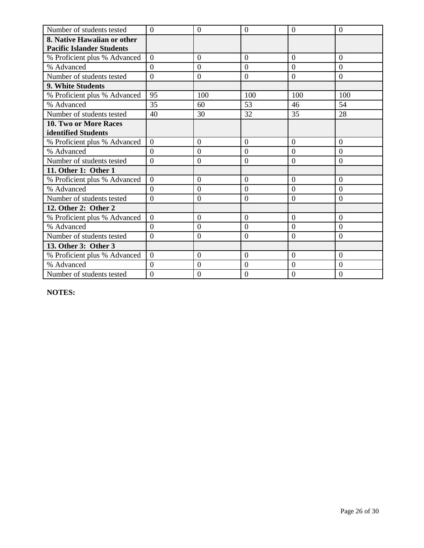| Number of students tested        | $\Omega$       | $\overline{0}$   | $\overline{0}$ | $\Omega$       | $\theta$       |
|----------------------------------|----------------|------------------|----------------|----------------|----------------|
| 8. Native Hawaiian or other      |                |                  |                |                |                |
| <b>Pacific Islander Students</b> |                |                  |                |                |                |
| % Proficient plus % Advanced     | $\overline{0}$ | $\overline{0}$   | $\overline{0}$ | $\overline{0}$ | $\overline{0}$ |
| % Advanced                       | $\overline{0}$ | $\overline{0}$   | $\overline{0}$ | $\overline{0}$ | $\Omega$       |
| Number of students tested        | $\overline{0}$ | $\overline{0}$   | $\overline{0}$ | $\overline{0}$ | $\overline{0}$ |
| 9. White Students                |                |                  |                |                |                |
| % Proficient plus % Advanced     | 95             | 100              | 100            | 100            | 100            |
| % Advanced                       | 35             | 60               | 53             | 46             | 54             |
| Number of students tested        | 40             | 30               | 32             | 35             | 28             |
| 10. Two or More Races            |                |                  |                |                |                |
| identified Students              |                |                  |                |                |                |
| % Proficient plus % Advanced     | $\theta$       | $\theta$         | $\Omega$       | $\theta$       | $\Omega$       |
| % Advanced                       | $\overline{0}$ | $\theta$         | $\overline{0}$ | $\theta$       | $\theta$       |
| Number of students tested        | $\overline{0}$ | $\overline{0}$   | $\overline{0}$ | $\overline{0}$ | $\overline{0}$ |
| 11. Other 1: Other 1             |                |                  |                |                |                |
| % Proficient plus % Advanced     | $\overline{0}$ | $\overline{0}$   | $\overline{0}$ | $\overline{0}$ | $\Omega$       |
| % Advanced                       | $\theta$       | $\theta$         | $\overline{0}$ | $\overline{0}$ | $\overline{0}$ |
| Number of students tested        | $\overline{0}$ | $\overline{0}$   | $\overline{0}$ | $\overline{0}$ | $\overline{0}$ |
| 12. Other 2: Other 2             |                |                  |                |                |                |
| % Proficient plus % Advanced     | $\overline{0}$ | $\overline{0}$   | $\overline{0}$ | $\overline{0}$ | $\overline{0}$ |
| % Advanced                       | $\Omega$       | $\boldsymbol{0}$ | $\overline{0}$ | $\overline{0}$ | $\overline{0}$ |
| Number of students tested        | $\overline{0}$ | $\theta$         | $\overline{0}$ | $\overline{0}$ | $\overline{0}$ |
| 13. Other 3: Other 3             |                |                  |                |                |                |
| % Proficient plus % Advanced     | $\overline{0}$ | $\overline{0}$   | $\overline{0}$ | $\overline{0}$ | $\overline{0}$ |
| % Advanced                       | $\Omega$       | $\theta$         | $\overline{0}$ | $\overline{0}$ | $\Omega$       |
| Number of students tested        | $\overline{0}$ | $\overline{0}$   | $\overline{0}$ | $\Omega$       | $\overline{0}$ |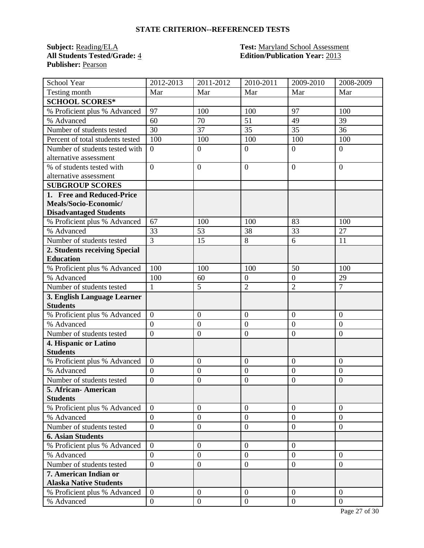**Subject:** <u>Reading/ELA</u> **Test:** <u>Maryland School Assessment</u><br> **All Students Tested/Grade:** 4 **Test: Edition/Publication Year:** 2013 **Publisher:** Pearson

# **All Students Tested/Grade:** 4 **Edition/Publication Year:** 2013

| School Year                      | 2012-2013        | 2011-2012        | 2010-2011        | 2009-2010        | 2008-2009        |
|----------------------------------|------------------|------------------|------------------|------------------|------------------|
| Testing month                    | Mar              | Mar              | Mar              | Mar              | Mar              |
| <b>SCHOOL SCORES*</b>            |                  |                  |                  |                  |                  |
| % Proficient plus % Advanced     | 97               | 100              | 100              | 97               | 100              |
| % Advanced                       | 60               | 70               | 51               | 49               | 39               |
| Number of students tested        | 30               | 37               | 35               | 35               | 36               |
| Percent of total students tested | 100              | 100              | 100              | 100              | 100              |
| Number of students tested with   | $\overline{0}$   | $\overline{0}$   | $\boldsymbol{0}$ | $\overline{0}$   | $\overline{0}$   |
| alternative assessment           |                  |                  |                  |                  |                  |
| % of students tested with        | $\theta$         | $\overline{0}$   | $\overline{0}$   | $\overline{0}$   | $\Omega$         |
| alternative assessment           |                  |                  |                  |                  |                  |
| <b>SUBGROUP SCORES</b>           |                  |                  |                  |                  |                  |
| 1. Free and Reduced-Price        |                  |                  |                  |                  |                  |
| Meals/Socio-Economic/            |                  |                  |                  |                  |                  |
| <b>Disadvantaged Students</b>    |                  |                  |                  |                  |                  |
| % Proficient plus % Advanced     | 67               | 100              | 100              | 83               | 100              |
| % Advanced                       | 33               | 53               | 38               | 33               | 27               |
| Number of students tested        | $\overline{3}$   | 15               | 8                | 6                | 11               |
| 2. Students receiving Special    |                  |                  |                  |                  |                  |
| <b>Education</b>                 |                  |                  |                  |                  |                  |
| % Proficient plus % Advanced     | 100              | 100              | 100              | 50               | 100              |
| % Advanced                       | 100              | 60               | $\overline{0}$   | $\overline{0}$   | 29               |
| Number of students tested        | $\mathbf{1}$     | $\overline{5}$   | $\overline{2}$   | $\overline{2}$   | $\overline{7}$   |
| 3. English Language Learner      |                  |                  |                  |                  |                  |
| <b>Students</b>                  |                  |                  |                  |                  |                  |
| % Proficient plus % Advanced     | $\overline{0}$   | $\overline{0}$   | $\overline{0}$   | $\overline{0}$   | $\overline{0}$   |
| % Advanced                       | $\overline{0}$   | $\boldsymbol{0}$ | $\boldsymbol{0}$ | $\overline{0}$   | $\overline{0}$   |
| Number of students tested        | $\overline{0}$   | $\mathbf{0}$     | $\overline{0}$   | $\boldsymbol{0}$ | $\boldsymbol{0}$ |
| 4. Hispanic or Latino            |                  |                  |                  |                  |                  |
| <b>Students</b>                  |                  |                  |                  |                  |                  |
| % Proficient plus % Advanced     | $\overline{0}$   | $\boldsymbol{0}$ | $\overline{0}$   | $\overline{0}$   | $\overline{0}$   |
| % Advanced                       | $\boldsymbol{0}$ | $\mathbf{0}$     | $\overline{0}$   | $\overline{0}$   | $\mathbf{0}$     |
| Number of students tested        | $\overline{0}$   | $\boldsymbol{0}$ | $\boldsymbol{0}$ | $\overline{0}$   | $\overline{0}$   |
| 5. African- American             |                  |                  |                  |                  |                  |
| <b>Students</b>                  |                  |                  |                  |                  |                  |
| % Proficient plus % Advanced     | $\overline{0}$   | $\overline{0}$   | $\overline{0}$   | $\overline{0}$   | $\overline{0}$   |
| % Advanced                       | $\overline{0}$   | $\boldsymbol{0}$ | $\mathbf{0}$     | $\overline{0}$   | $\overline{0}$   |
| Number of students tested        | $\overline{0}$   | $\overline{0}$   | $\overline{0}$   | $\overline{0}$   | $\overline{0}$   |
| <b>6. Asian Students</b>         |                  |                  |                  |                  |                  |
| % Proficient plus % Advanced     | $\overline{0}$   | $\boldsymbol{0}$ | $\overline{0}$   | $\overline{0}$   |                  |
| % Advanced                       | $\overline{0}$   | $\boldsymbol{0}$ | $\overline{0}$   | $\overline{0}$   | $\overline{0}$   |
| Number of students tested        | $\overline{0}$   | $\boldsymbol{0}$ | $\mathbf{0}$     | $\boldsymbol{0}$ | $\overline{0}$   |
| 7. American Indian or            |                  |                  |                  |                  |                  |
| <b>Alaska Native Students</b>    |                  |                  |                  |                  |                  |
| % Proficient plus % Advanced     | $\overline{0}$   | $\boldsymbol{0}$ | $\mathbf{0}$     | $\overline{0}$   | $\theta$         |
| % Advanced                       | $\overline{0}$   | $\boldsymbol{0}$ | $\overline{0}$   | $\overline{0}$   | $\mathbf{0}$     |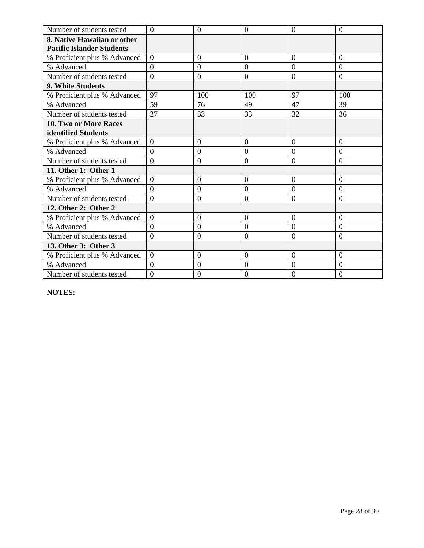| Number of students tested        | $\Omega$       | $\overline{0}$   | $\overline{0}$ | $\Omega$       | $\theta$       |
|----------------------------------|----------------|------------------|----------------|----------------|----------------|
| 8. Native Hawaiian or other      |                |                  |                |                |                |
| <b>Pacific Islander Students</b> |                |                  |                |                |                |
| % Proficient plus % Advanced     | $\overline{0}$ | $\overline{0}$   | $\overline{0}$ | $\overline{0}$ | $\overline{0}$ |
| % Advanced                       | $\overline{0}$ | $\overline{0}$   | $\overline{0}$ | $\overline{0}$ | $\Omega$       |
| Number of students tested        | $\overline{0}$ | $\overline{0}$   | $\overline{0}$ | $\Omega$       | $\overline{0}$ |
| 9. White Students                |                |                  |                |                |                |
| % Proficient plus % Advanced     | 97             | 100              | 100            | 97             | 100            |
| % Advanced                       | 59             | 76               | 49             | 47             | 39             |
| Number of students tested        | 27             | 33               | 33             | 32             | 36             |
| 10. Two or More Races            |                |                  |                |                |                |
| identified Students              |                |                  |                |                |                |
| % Proficient plus % Advanced     | $\theta$       | $\theta$         | $\Omega$       | $\theta$       | $\Omega$       |
| % Advanced                       | $\overline{0}$ | $\theta$         | $\overline{0}$ | $\theta$       | $\theta$       |
| Number of students tested        | $\overline{0}$ | $\overline{0}$   | $\overline{0}$ | $\overline{0}$ | $\overline{0}$ |
| 11. Other 1: Other 1             |                |                  |                |                |                |
| % Proficient plus % Advanced     | $\overline{0}$ | $\overline{0}$   | $\overline{0}$ | $\overline{0}$ | $\Omega$       |
| % Advanced                       | $\theta$       | $\theta$         | $\overline{0}$ | $\overline{0}$ | $\overline{0}$ |
| Number of students tested        | $\overline{0}$ | $\overline{0}$   | $\overline{0}$ | $\overline{0}$ | $\overline{0}$ |
| 12. Other 2: Other 2             |                |                  |                |                |                |
| % Proficient plus % Advanced     | $\overline{0}$ | $\overline{0}$   | $\overline{0}$ | $\overline{0}$ | $\overline{0}$ |
| % Advanced                       | $\Omega$       | $\boldsymbol{0}$ | $\overline{0}$ | $\overline{0}$ | $\overline{0}$ |
| Number of students tested        | $\overline{0}$ | $\theta$         | $\overline{0}$ | $\overline{0}$ | $\overline{0}$ |
| 13. Other 3: Other 3             |                |                  |                |                |                |
| % Proficient plus % Advanced     | $\overline{0}$ | $\overline{0}$   | $\overline{0}$ | $\overline{0}$ | $\overline{0}$ |
| % Advanced                       | $\Omega$       | $\theta$         | $\overline{0}$ | $\overline{0}$ | $\Omega$       |
| Number of students tested        | $\overline{0}$ | $\overline{0}$   | $\overline{0}$ | $\Omega$       | $\overline{0}$ |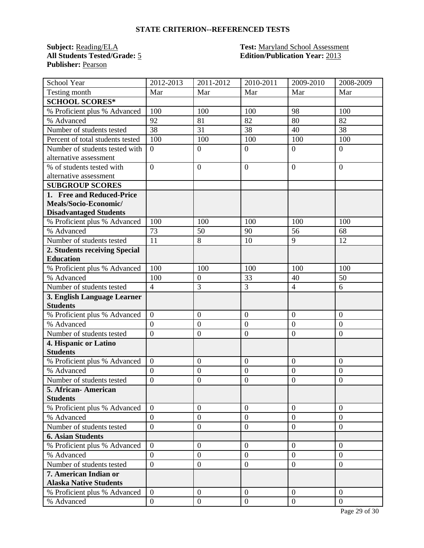**Subject:** <u>Reading/ELA</u> **Test:** <u>Maryland School Assessment</u><br> **All Students Tested/Grade:** 5 **Test: Edition/Publication Year:** 2013 **Publisher:** Pearson

# **Edition/Publication Year: 2013**

| School Year                      | 2012-2013        | 2011-2012        | 2010-2011        | 2009-2010        | 2008-2009        |
|----------------------------------|------------------|------------------|------------------|------------------|------------------|
| Testing month                    | Mar              | Mar              | Mar              | Mar              | Mar              |
| <b>SCHOOL SCORES*</b>            |                  |                  |                  |                  |                  |
| % Proficient plus % Advanced     | 100              | 100              | 100              | 98               | 100              |
| % Advanced                       | 92               | 81               | 82               | 80               | 82               |
| Number of students tested        | 38               | 31               | 38               | 40               | 38               |
| Percent of total students tested | 100              | 100              | 100              | 100              | 100              |
| Number of students tested with   | $\overline{0}$   | $\overline{0}$   | $\boldsymbol{0}$ | $\overline{0}$   | $\overline{0}$   |
| alternative assessment           |                  |                  |                  |                  |                  |
| % of students tested with        | $\theta$         | $\overline{0}$   | $\overline{0}$   | $\overline{0}$   | $\Omega$         |
| alternative assessment           |                  |                  |                  |                  |                  |
| <b>SUBGROUP SCORES</b>           |                  |                  |                  |                  |                  |
| 1. Free and Reduced-Price        |                  |                  |                  |                  |                  |
| Meals/Socio-Economic/            |                  |                  |                  |                  |                  |
| <b>Disadvantaged Students</b>    |                  |                  |                  |                  |                  |
| % Proficient plus % Advanced     | 100              | 100              | 100              | 100              | 100              |
| % Advanced                       | 73               | 50               | 90               | 56               | 68               |
| Number of students tested        | 11               | 8                | 10               | 9                | 12               |
| 2. Students receiving Special    |                  |                  |                  |                  |                  |
| <b>Education</b>                 |                  |                  |                  |                  |                  |
| % Proficient plus % Advanced     | 100              | 100              | 100              | 100              | 100              |
| % Advanced                       | 100              | $\boldsymbol{0}$ | 33               | 40               | 50               |
| Number of students tested        | $\overline{4}$   | $\overline{3}$   | 3                | $\overline{4}$   | 6                |
| 3. English Language Learner      |                  |                  |                  |                  |                  |
| <b>Students</b>                  |                  |                  |                  |                  |                  |
| % Proficient plus % Advanced     | $\overline{0}$   | $\overline{0}$   | $\overline{0}$   | $\overline{0}$   | $\overline{0}$   |
| % Advanced                       | $\overline{0}$   | $\boldsymbol{0}$ | $\boldsymbol{0}$ | $\overline{0}$   | $\overline{0}$   |
| Number of students tested        | $\overline{0}$   | $\mathbf{0}$     | $\overline{0}$   | $\boldsymbol{0}$ | $\boldsymbol{0}$ |
| 4. Hispanic or Latino            |                  |                  |                  |                  |                  |
| <b>Students</b>                  |                  |                  |                  |                  |                  |
| % Proficient plus % Advanced     | $\overline{0}$   | $\boldsymbol{0}$ | $\overline{0}$   | $\overline{0}$   | $\overline{0}$   |
| % Advanced                       | $\boldsymbol{0}$ | $\mathbf{0}$     | $\overline{0}$   | $\overline{0}$   | $\mathbf{0}$     |
| Number of students tested        | $\overline{0}$   | $\boldsymbol{0}$ | $\boldsymbol{0}$ | $\overline{0}$   | $\overline{0}$   |
| 5. African- American             |                  |                  |                  |                  |                  |
| <b>Students</b>                  |                  |                  |                  |                  |                  |
| % Proficient plus % Advanced     | $\overline{0}$   | $\overline{0}$   | $\overline{0}$   | $\overline{0}$   | $\overline{0}$   |
| % Advanced                       | $\overline{0}$   | $\boldsymbol{0}$ | $\mathbf{0}$     | $\overline{0}$   | $\overline{0}$   |
| Number of students tested        | $\overline{0}$   | $\overline{0}$   | $\overline{0}$   | $\overline{0}$   | $\overline{0}$   |
| <b>6. Asian Students</b>         |                  |                  |                  |                  |                  |
| % Proficient plus % Advanced     | $\overline{0}$   | $\boldsymbol{0}$ | $\overline{0}$   | $\overline{0}$   | $\theta$         |
| % Advanced                       | $\overline{0}$   | $\boldsymbol{0}$ | $\overline{0}$   | $\overline{0}$   | $\overline{0}$   |
| Number of students tested        | $\overline{0}$   | $\boldsymbol{0}$ | $\mathbf{0}$     | $\overline{0}$   | $\overline{0}$   |
| 7. American Indian or            |                  |                  |                  |                  |                  |
| <b>Alaska Native Students</b>    |                  |                  |                  |                  |                  |
| % Proficient plus % Advanced     | $\overline{0}$   | $\boldsymbol{0}$ | $\mathbf{0}$     | $\overline{0}$   | $\theta$         |
| % Advanced                       | $\overline{0}$   | $\boldsymbol{0}$ | $\overline{0}$   | $\overline{0}$   | $\overline{0}$   |